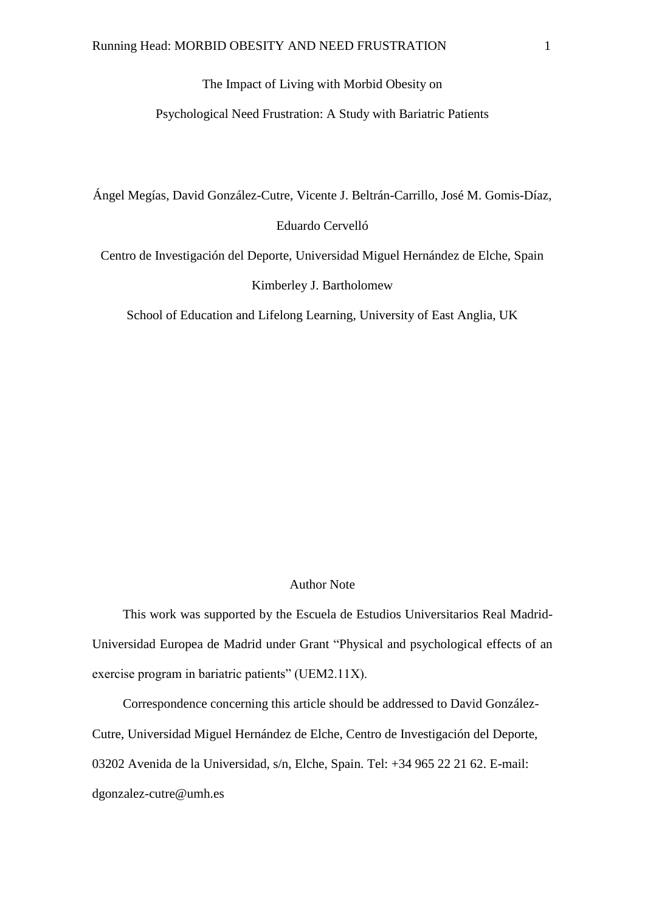# The Impact of Living with Morbid Obesity on

# Psychological Need Frustration: A Study with Bariatric Patients

Ángel Megías, David González-Cutre, Vicente J. Beltrán-Carrillo, José M. Gomis-Díaz,

# Eduardo Cervelló

Centro de Investigación del Deporte, Universidad Miguel Hernández de Elche, Spain Kimberley J. Bartholomew

School of Education and Lifelong Learning, University of East Anglia, UK

#### Author Note

This work was supported by the Escuela de Estudios Universitarios Real Madrid-Universidad Europea de Madrid under Grant "Physical and psychological effects of an exercise program in bariatric patients" (UEM2.11X).

Correspondence concerning this article should be addressed to David González-Cutre, Universidad Miguel Hernández de Elche, Centro de Investigación del Deporte, 03202 Avenida de la Universidad, s/n, Elche, Spain. Tel: +34 965 22 21 62. E-mail: dgonzalez-cutre@umh.es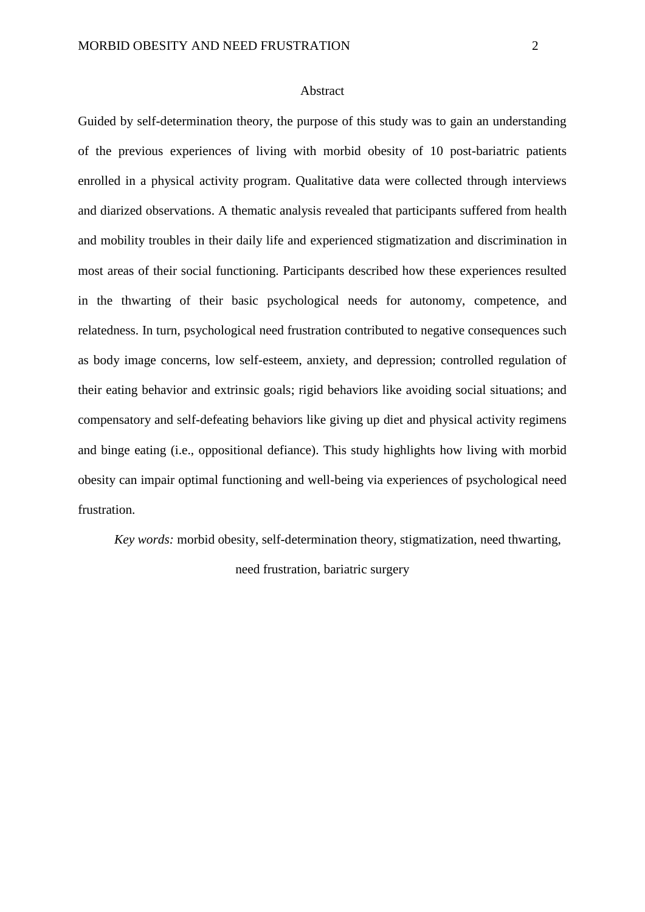### Abstract

Guided by self-determination theory, the purpose of this study was to gain an understanding of the previous experiences of living with morbid obesity of 10 post-bariatric patients enrolled in a physical activity program. Qualitative data were collected through interviews and diarized observations. A thematic analysis revealed that participants suffered from health and mobility troubles in their daily life and experienced stigmatization and discrimination in most areas of their social functioning. Participants described how these experiences resulted in the thwarting of their basic psychological needs for autonomy, competence, and relatedness. In turn, psychological need frustration contributed to negative consequences such as body image concerns, low self-esteem, anxiety, and depression; controlled regulation of their eating behavior and extrinsic goals; rigid behaviors like avoiding social situations; and compensatory and self-defeating behaviors like giving up diet and physical activity regimens and binge eating (i.e., oppositional defiance). This study highlights how living with morbid obesity can impair optimal functioning and well-being via experiences of psychological need frustration.

*Key words:* morbid obesity, self-determination theory, stigmatization, need thwarting,

need frustration, bariatric surgery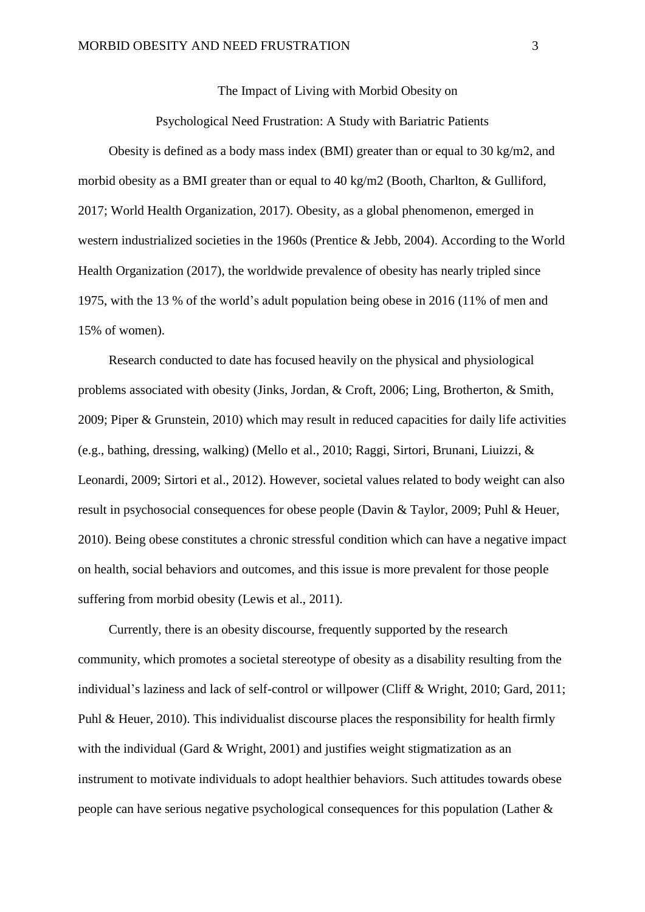The Impact of Living with Morbid Obesity on

Psychological Need Frustration: A Study with Bariatric Patients

Obesity is defined as a body mass index (BMI) greater than or equal to 30 kg/m2, and morbid obesity as a BMI greater than or equal to 40 kg/m2 (Booth, Charlton, & Gulliford, 2017; World Health Organization, 2017). Obesity, as a global phenomenon, emerged in western industrialized societies in the 1960s (Prentice & Jebb, 2004). According to the World Health Organization (2017), the worldwide prevalence of obesity has nearly tripled since 1975, with the 13 % of the world's adult population being obese in 2016 (11% of men and 15% of women).

Research conducted to date has focused heavily on the physical and physiological problems associated with obesity (Jinks, Jordan, & Croft, 2006; Ling, Brotherton, & Smith, 2009; Piper & Grunstein, 2010) which may result in reduced capacities for daily life activities (e.g., bathing, dressing, walking) (Mello et al., 2010; Raggi, Sirtori, Brunani, Liuizzi, & Leonardi, 2009; Sirtori et al., 2012). However, societal values related to body weight can also result in psychosocial consequences for obese people (Davin & Taylor, 2009; Puhl & Heuer, 2010). Being obese constitutes a chronic stressful condition which can have a negative impact on health, social behaviors and outcomes, and this issue is more prevalent for those people suffering from morbid obesity (Lewis et al., 2011).

Currently, there is an obesity discourse, frequently supported by the research community, which promotes a societal stereotype of obesity as a disability resulting from the individual's laziness and lack of self-control or willpower (Cliff & Wright, 2010; Gard, 2011; Puhl & Heuer, 2010). This individualist discourse places the responsibility for health firmly with the individual (Gard & Wright, 2001) and justifies weight stigmatization as an instrument to motivate individuals to adopt healthier behaviors. Such attitudes towards obese people can have serious negative psychological consequences for this population (Lather &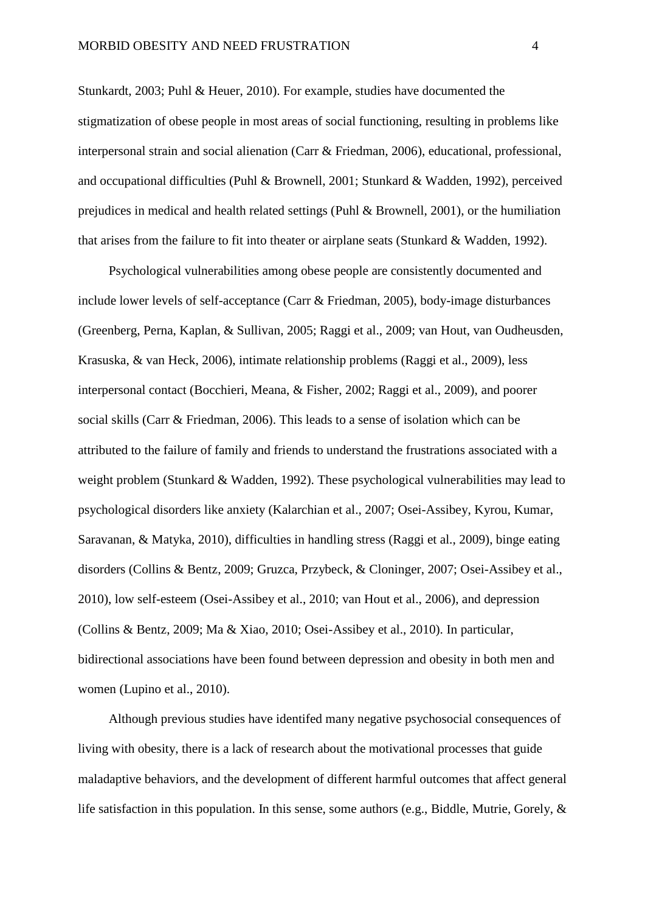Stunkardt, 2003; Puhl & Heuer, 2010). For example, studies have documented the stigmatization of obese people in most areas of social functioning, resulting in problems like interpersonal strain and social alienation (Carr & Friedman, 2006), educational, professional, and occupational difficulties (Puhl & Brownell, 2001; Stunkard & Wadden, 1992), perceived prejudices in medical and health related settings (Puhl & Brownell, 2001), or the humiliation that arises from the failure to fit into theater or airplane seats (Stunkard & Wadden, 1992).

Psychological vulnerabilities among obese people are consistently documented and include lower levels of self-acceptance (Carr & Friedman, 2005), body-image disturbances (Greenberg, Perna, Kaplan, & Sullivan, 2005; Raggi et al., 2009; van Hout, van Oudheusden, Krasuska, & van Heck, 2006), intimate relationship problems (Raggi et al., 2009), less interpersonal contact (Bocchieri, Meana, & Fisher, 2002; Raggi et al., 2009), and poorer social skills (Carr & Friedman, 2006). This leads to a sense of isolation which can be attributed to the failure of family and friends to understand the frustrations associated with a weight problem (Stunkard & Wadden, 1992). These psychological vulnerabilities may lead to psychological disorders like anxiety (Kalarchian et al., 2007; Osei-Assibey, Kyrou, Kumar, Saravanan, & Matyka, 2010), difficulties in handling stress (Raggi et al., 2009), binge eating disorders (Collins & Bentz, 2009; Gruzca, Przybeck, & Cloninger, 2007; Osei-Assibey et al., 2010), low self-esteem (Osei-Assibey et al., 2010; van Hout et al., 2006), and depression (Collins & Bentz, 2009; Ma & Xiao, 2010; Osei-Assibey et al., 2010). In particular, bidirectional associations have been found between depression and obesity in both men and women (Lupino et al., 2010).

Although previous studies have identifed many negative psychosocial consequences of living with obesity, there is a lack of research about the motivational processes that guide maladaptive behaviors, and the development of different harmful outcomes that affect general life satisfaction in this population. In this sense, some authors (e.g., Biddle, Mutrie, Gorely, &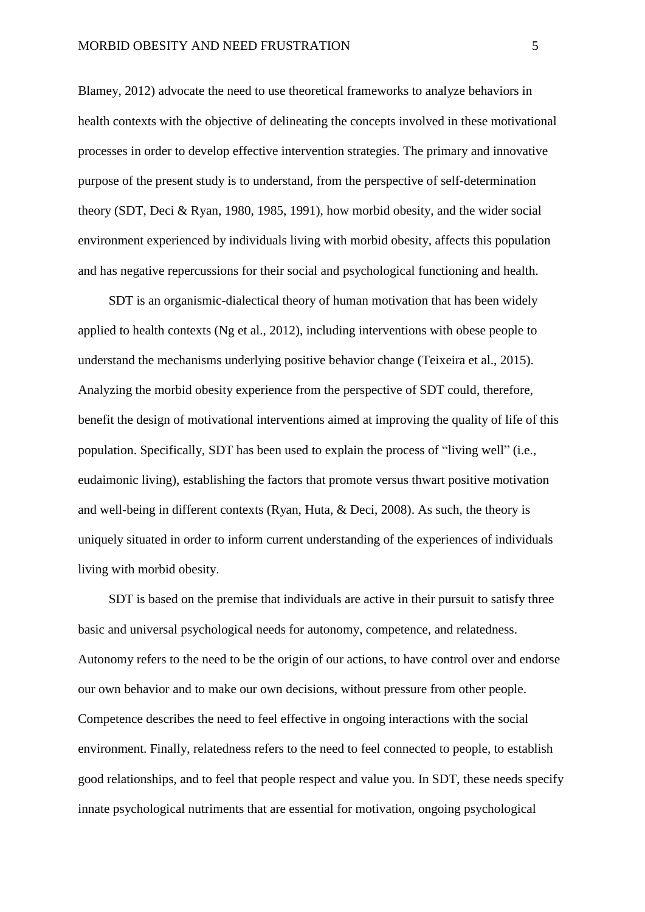Blamey, 2012) advocate the need to use theoretical frameworks to analyze behaviors in health contexts with the objective of delineating the concepts involved in these motivational processes in order to develop effective intervention strategies. The primary and innovative purpose of the present study is to understand, from the perspective of self-determination theory (SDT, Deci & Ryan, 1980, 1985, 1991), how morbid obesity, and the wider social environment experienced by individuals living with morbid obesity, affects this population and has negative repercussions for their social and psychological functioning and health.

SDT is an organismic-dialectical theory of human motivation that has been widely applied to health contexts (Ng et al., 2012), including interventions with obese people to understand the mechanisms underlying positive behavior change (Teixeira et al., 2015). Analyzing the morbid obesity experience from the perspective of SDT could, therefore, benefit the design of motivational interventions aimed at improving the quality of life of this population. Specifically, SDT has been used to explain the process of "living well" (i.e., eudaimonic living), establishing the factors that promote versus thwart positive motivation and well-being in different contexts (Ryan, Huta, & Deci, 2008). As such, the theory is uniquely situated in order to inform current understanding of the experiences of individuals living with morbid obesity.

SDT is based on the premise that individuals are active in their pursuit to satisfy three basic and universal psychological needs for autonomy, competence, and relatedness. Autonomy refers to the need to be the origin of our actions, to have control over and endorse our own behavior and to make our own decisions, without pressure from other people. Competence describes the need to feel effective in ongoing interactions with the social environment. Finally, relatedness refers to the need to feel connected to people, to establish good relationships, and to feel that people respect and value you. In SDT, these needs specify innate psychological nutriments that are essential for motivation, ongoing psychological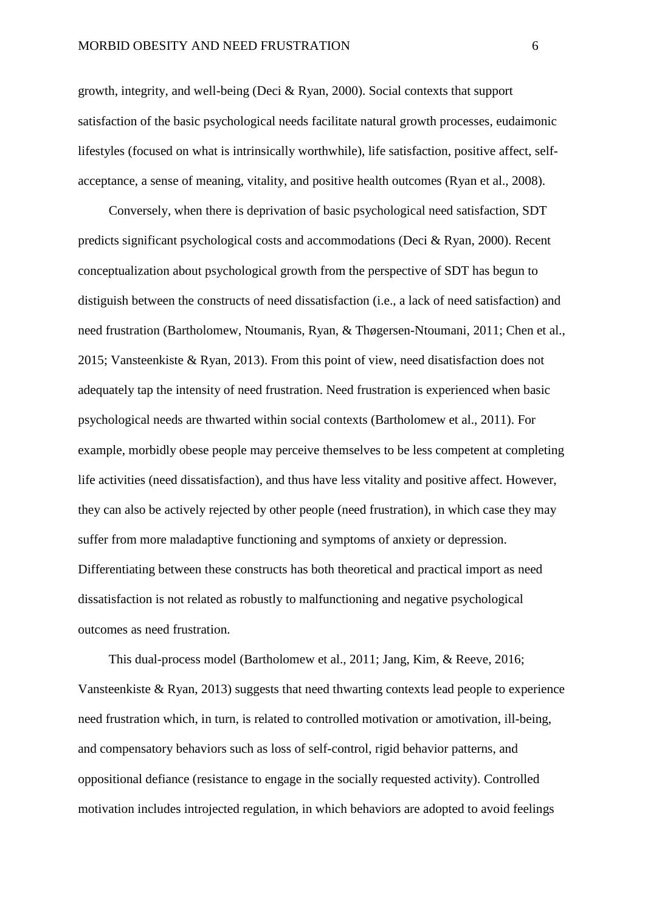growth, integrity, and well-being (Deci & Ryan, 2000). Social contexts that support satisfaction of the basic psychological needs facilitate natural growth processes, eudaimonic lifestyles (focused on what is intrinsically worthwhile), life satisfaction, positive affect, selfacceptance, a sense of meaning, vitality, and positive health outcomes (Ryan et al., 2008).

Conversely, when there is deprivation of basic psychological need satisfaction, SDT predicts significant psychological costs and accommodations (Deci & Ryan, 2000). Recent conceptualization about psychological growth from the perspective of SDT has begun to distiguish between the constructs of need dissatisfaction (i.e., a lack of need satisfaction) and need frustration (Bartholomew, Ntoumanis, Ryan, & Thøgersen-Ntoumani, 2011; Chen et al., 2015; Vansteenkiste & Ryan, 2013). From this point of view, need disatisfaction does not adequately tap the intensity of need frustration. Need frustration is experienced when basic psychological needs are thwarted within social contexts (Bartholomew et al., 2011). For example, morbidly obese people may perceive themselves to be less competent at completing life activities (need dissatisfaction), and thus have less vitality and positive affect. However, they can also be actively rejected by other people (need frustration), in which case they may suffer from more maladaptive functioning and symptoms of anxiety or depression. Differentiating between these constructs has both theoretical and practical import as need dissatisfaction is not related as robustly to malfunctioning and negative psychological outcomes as need frustration.

This dual-process model (Bartholomew et al., 2011; Jang, Kim, & Reeve, 2016; Vansteenkiste & Ryan, 2013) suggests that need thwarting contexts lead people to experience need frustration which, in turn, is related to controlled motivation or amotivation, ill-being, and compensatory behaviors such as loss of self-control, rigid behavior patterns, and oppositional defiance (resistance to engage in the socially requested activity). Controlled motivation includes introjected regulation, in which behaviors are adopted to avoid feelings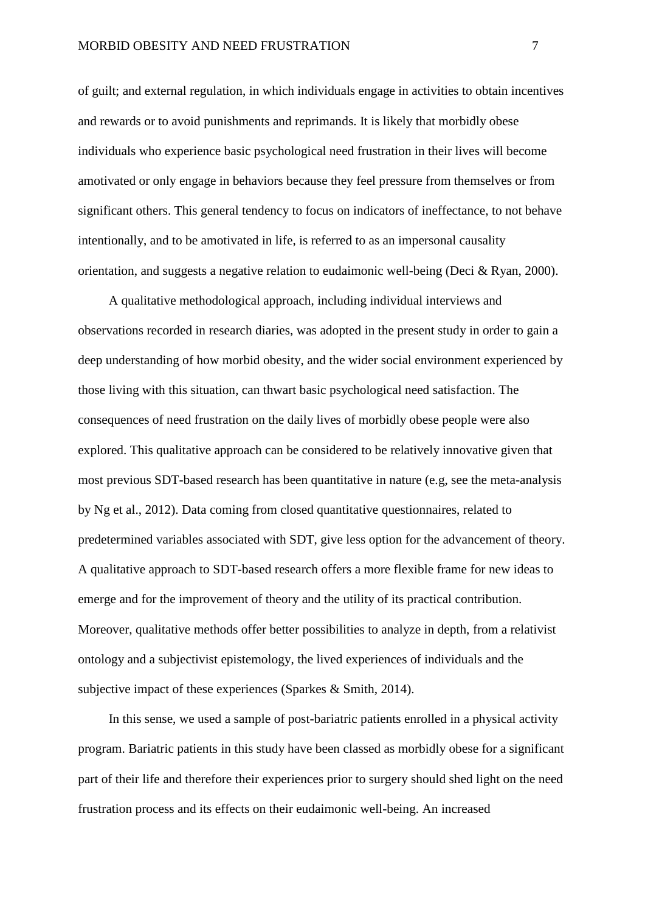of guilt; and external regulation, in which individuals engage in activities to obtain incentives and rewards or to avoid punishments and reprimands. It is likely that morbidly obese individuals who experience basic psychological need frustration in their lives will become amotivated or only engage in behaviors because they feel pressure from themselves or from significant others. This general tendency to focus on indicators of ineffectance, to not behave intentionally, and to be amotivated in life, is referred to as an impersonal causality orientation, and suggests a negative relation to eudaimonic well-being (Deci & Ryan, 2000).

A qualitative methodological approach, including individual interviews and observations recorded in research diaries, was adopted in the present study in order to gain a deep understanding of how morbid obesity, and the wider social environment experienced by those living with this situation, can thwart basic psychological need satisfaction. The consequences of need frustration on the daily lives of morbidly obese people were also explored. This qualitative approach can be considered to be relatively innovative given that most previous SDT-based research has been quantitative in nature (e.g, see the meta-analysis by Ng et al., 2012). Data coming from closed quantitative questionnaires, related to predetermined variables associated with SDT, give less option for the advancement of theory. A qualitative approach to SDT-based research offers a more flexible frame for new ideas to emerge and for the improvement of theory and the utility of its practical contribution. Moreover, qualitative methods offer better possibilities to analyze in depth, from a relativist ontology and a subjectivist epistemology, the lived experiences of individuals and the subjective impact of these experiences (Sparkes & Smith, 2014).

In this sense, we used a sample of post-bariatric patients enrolled in a physical activity program. Bariatric patients in this study have been classed as morbidly obese for a significant part of their life and therefore their experiences prior to surgery should shed light on the need frustration process and its effects on their eudaimonic well-being. An increased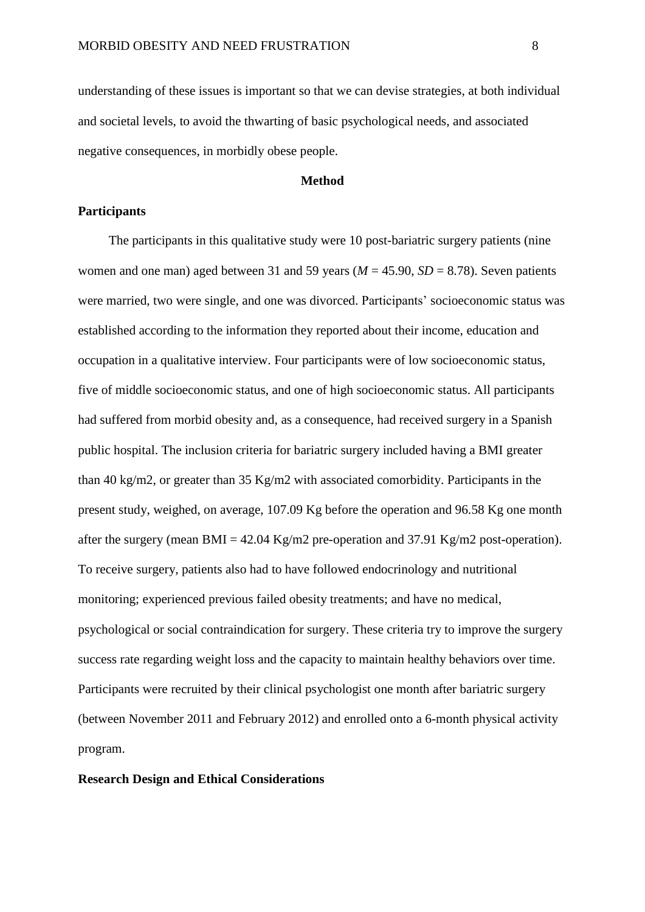understanding of these issues is important so that we can devise strategies, at both individual and societal levels, to avoid the thwarting of basic psychological needs, and associated negative consequences, in morbidly obese people.

### **Method**

# **Participants**

The participants in this qualitative study were 10 post-bariatric surgery patients (nine women and one man) aged between 31 and 59 years ( $M = 45.90$ ,  $SD = 8.78$ ). Seven patients were married, two were single, and one was divorced. Participants' socioeconomic status was established according to the information they reported about their income, education and occupation in a qualitative interview. Four participants were of low socioeconomic status, five of middle socioeconomic status, and one of high socioeconomic status. All participants had suffered from morbid obesity and, as a consequence, had received surgery in a Spanish public hospital. The inclusion criteria for bariatric surgery included having a BMI greater than 40 kg/m2, or greater than 35 Kg/m2 with associated comorbidity. Participants in the present study, weighed, on average, 107.09 Kg before the operation and 96.58 Kg one month after the surgery (mean BMI = 42.04 Kg/m2 pre-operation and 37.91 Kg/m2 post-operation). To receive surgery, patients also had to have followed endocrinology and nutritional monitoring; experienced previous failed obesity treatments; and have no medical, psychological or social contraindication for surgery. These criteria try to improve the surgery success rate regarding weight loss and the capacity to maintain healthy behaviors over time. Participants were recruited by their clinical psychologist one month after bariatric surgery (between November 2011 and February 2012) and enrolled onto a 6-month physical activity program.

# **Research Design and Ethical Considerations**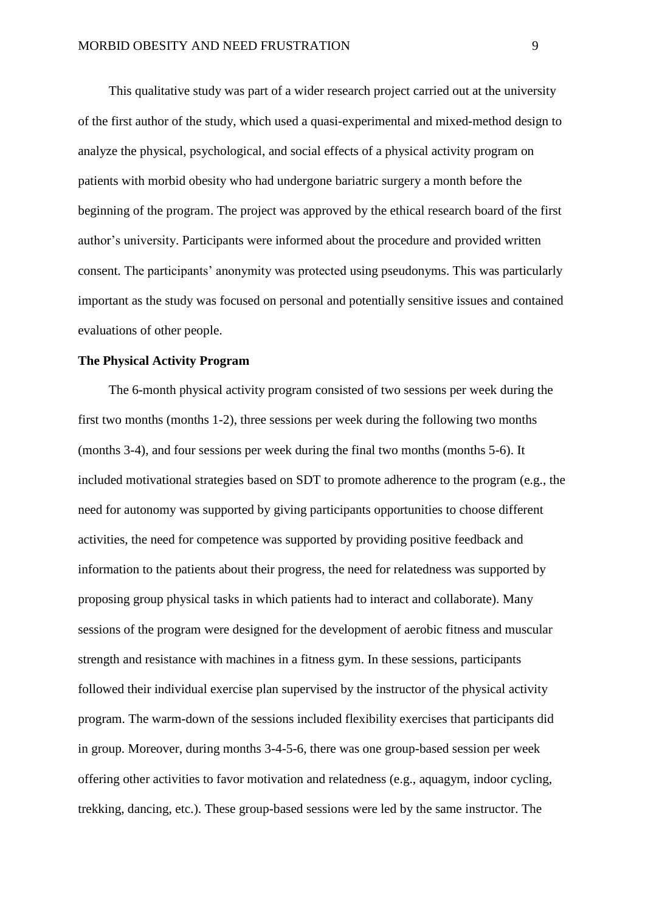This qualitative study was part of a wider research project carried out at the university of the first author of the study, which used a quasi-experimental and mixed-method design to analyze the physical, psychological, and social effects of a physical activity program on patients with morbid obesity who had undergone bariatric surgery a month before the beginning of the program. The project was approved by the ethical research board of the first author's university. Participants were informed about the procedure and provided written consent. The participants' anonymity was protected using pseudonyms. This was particularly important as the study was focused on personal and potentially sensitive issues and contained evaluations of other people.

### **The Physical Activity Program**

The 6-month physical activity program consisted of two sessions per week during the first two months (months 1-2), three sessions per week during the following two months (months 3-4), and four sessions per week during the final two months (months 5-6). It included motivational strategies based on SDT to promote adherence to the program (e.g., the need for autonomy was supported by giving participants opportunities to choose different activities, the need for competence was supported by providing positive feedback and information to the patients about their progress, the need for relatedness was supported by proposing group physical tasks in which patients had to interact and collaborate). Many sessions of the program were designed for the development of aerobic fitness and muscular strength and resistance with machines in a fitness gym. In these sessions, participants followed their individual exercise plan supervised by the instructor of the physical activity program. The warm-down of the sessions included flexibility exercises that participants did in group. Moreover, during months 3-4-5-6, there was one group-based session per week offering other activities to favor motivation and relatedness (e.g., aquagym, indoor cycling, trekking, dancing, etc.). These group-based sessions were led by the same instructor. The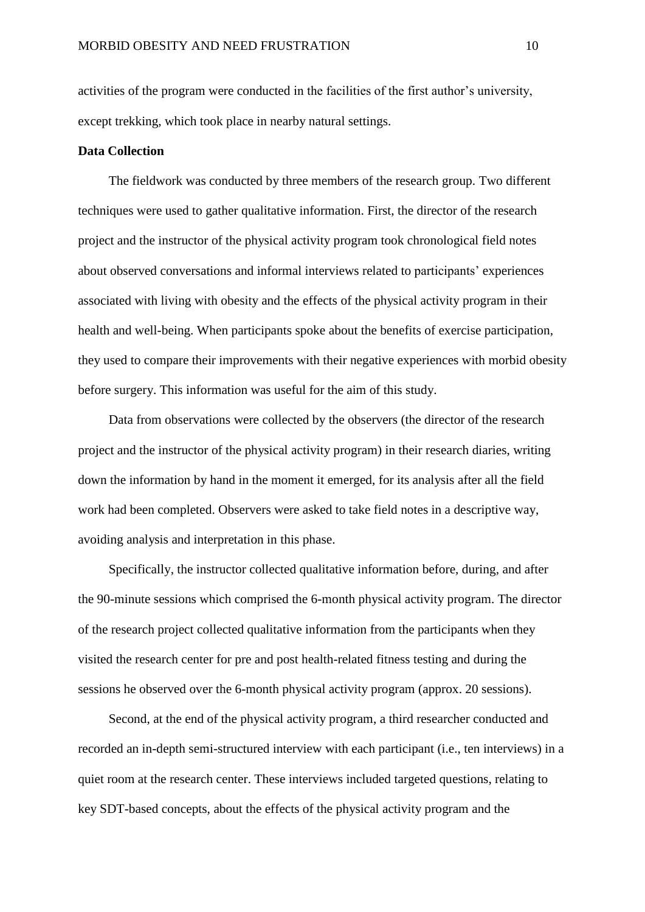activities of the program were conducted in the facilities of the first author's university, except trekking, which took place in nearby natural settings.

# **Data Collection**

The fieldwork was conducted by three members of the research group. Two different techniques were used to gather qualitative information. First, the director of the research project and the instructor of the physical activity program took chronological field notes about observed conversations and informal interviews related to participants' experiences associated with living with obesity and the effects of the physical activity program in their health and well-being. When participants spoke about the benefits of exercise participation, they used to compare their improvements with their negative experiences with morbid obesity before surgery. This information was useful for the aim of this study.

Data from observations were collected by the observers (the director of the research project and the instructor of the physical activity program) in their research diaries, writing down the information by hand in the moment it emerged, for its analysis after all the field work had been completed. Observers were asked to take field notes in a descriptive way, avoiding analysis and interpretation in this phase.

Specifically, the instructor collected qualitative information before, during, and after the 90-minute sessions which comprised the 6-month physical activity program. The director of the research project collected qualitative information from the participants when they visited the research center for pre and post health-related fitness testing and during the sessions he observed over the 6-month physical activity program (approx. 20 sessions).

Second, at the end of the physical activity program, a third researcher conducted and recorded an in-depth semi-structured interview with each participant (i.e., ten interviews) in a quiet room at the research center. These interviews included targeted questions, relating to key SDT-based concepts, about the effects of the physical activity program and the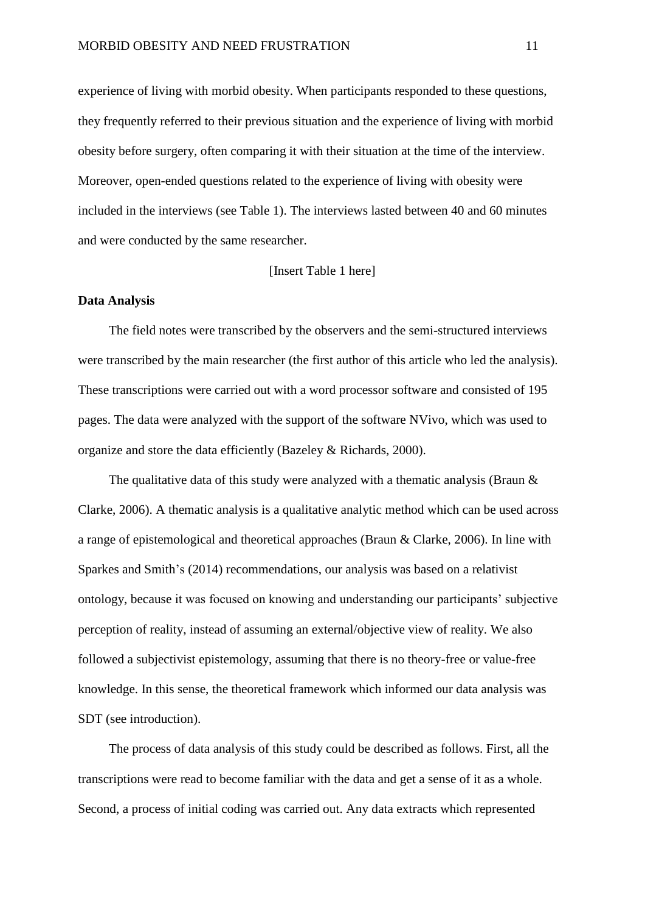experience of living with morbid obesity. When participants responded to these questions, they frequently referred to their previous situation and the experience of living with morbid obesity before surgery, often comparing it with their situation at the time of the interview. Moreover, open-ended questions related to the experience of living with obesity were included in the interviews (see Table 1). The interviews lasted between 40 and 60 minutes and were conducted by the same researcher.

### [Insert Table 1 here]

#### **Data Analysis**

The field notes were transcribed by the observers and the semi-structured interviews were transcribed by the main researcher (the first author of this article who led the analysis). These transcriptions were carried out with a word processor software and consisted of 195 pages. The data were analyzed with the support of the software NVivo, which was used to organize and store the data efficiently (Bazeley & Richards, 2000).

The qualitative data of this study were analyzed with a thematic analysis (Braun  $\&$ Clarke, 2006). A thematic analysis is a qualitative analytic method which can be used across a range of epistemological and theoretical approaches (Braun & Clarke, 2006). In line with Sparkes and Smith's (2014) recommendations, our analysis was based on a relativist ontology, because it was focused on knowing and understanding our participants' subjective perception of reality, instead of assuming an external/objective view of reality. We also followed a subjectivist epistemology, assuming that there is no theory-free or value-free knowledge. In this sense, the theoretical framework which informed our data analysis was SDT (see introduction).

The process of data analysis of this study could be described as follows. First, all the transcriptions were read to become familiar with the data and get a sense of it as a whole. Second, a process of initial coding was carried out. Any data extracts which represented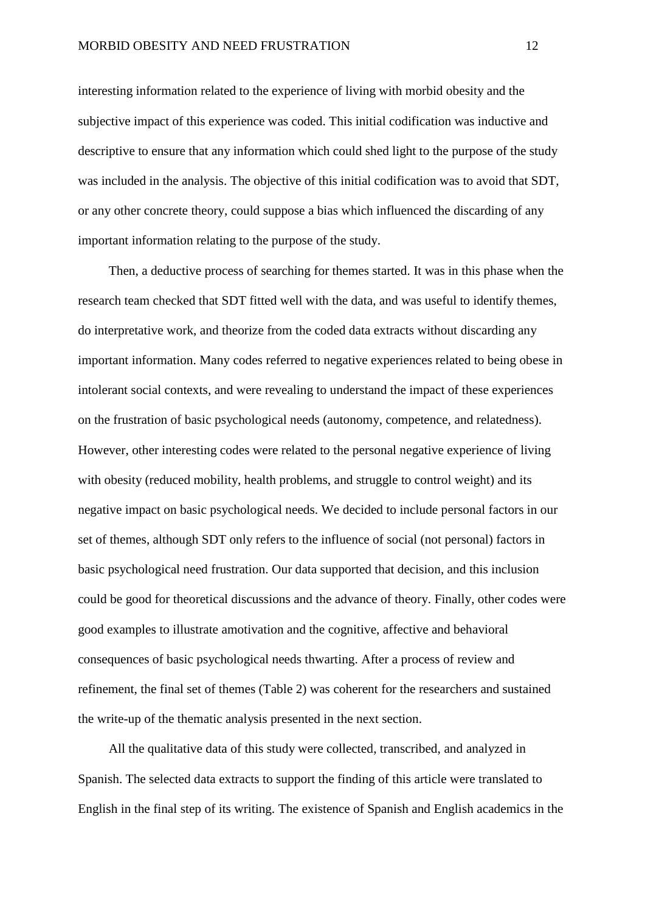interesting information related to the experience of living with morbid obesity and the subjective impact of this experience was coded. This initial codification was inductive and descriptive to ensure that any information which could shed light to the purpose of the study was included in the analysis. The objective of this initial codification was to avoid that SDT, or any other concrete theory, could suppose a bias which influenced the discarding of any important information relating to the purpose of the study.

Then, a deductive process of searching for themes started. It was in this phase when the research team checked that SDT fitted well with the data, and was useful to identify themes, do interpretative work, and theorize from the coded data extracts without discarding any important information. Many codes referred to negative experiences related to being obese in intolerant social contexts, and were revealing to understand the impact of these experiences on the frustration of basic psychological needs (autonomy, competence, and relatedness). However, other interesting codes were related to the personal negative experience of living with obesity (reduced mobility, health problems, and struggle to control weight) and its negative impact on basic psychological needs. We decided to include personal factors in our set of themes, although SDT only refers to the influence of social (not personal) factors in basic psychological need frustration. Our data supported that decision, and this inclusion could be good for theoretical discussions and the advance of theory. Finally, other codes were good examples to illustrate amotivation and the cognitive, affective and behavioral consequences of basic psychological needs thwarting. After a process of review and refinement, the final set of themes (Table 2) was coherent for the researchers and sustained the write-up of the thematic analysis presented in the next section.

All the qualitative data of this study were collected, transcribed, and analyzed in Spanish. The selected data extracts to support the finding of this article were translated to English in the final step of its writing. The existence of Spanish and English academics in the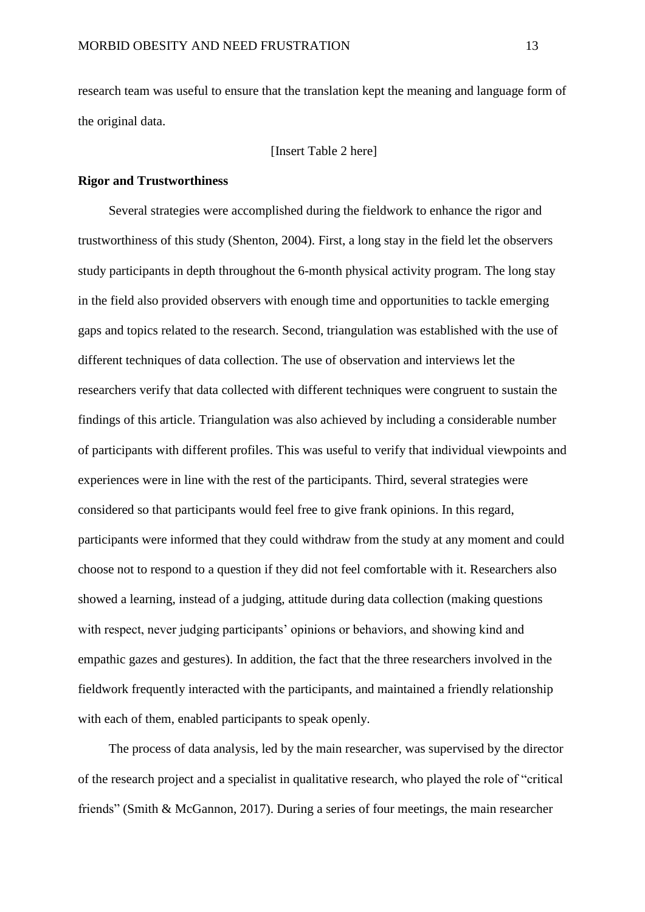research team was useful to ensure that the translation kept the meaning and language form of the original data.

[Insert Table 2 here]

### **Rigor and Trustworthiness**

Several strategies were accomplished during the fieldwork to enhance the rigor and trustworthiness of this study (Shenton, 2004). First, a long stay in the field let the observers study participants in depth throughout the 6-month physical activity program. The long stay in the field also provided observers with enough time and opportunities to tackle emerging gaps and topics related to the research. Second, triangulation was established with the use of different techniques of data collection. The use of observation and interviews let the researchers verify that data collected with different techniques were congruent to sustain the findings of this article. Triangulation was also achieved by including a considerable number of participants with different profiles. This was useful to verify that individual viewpoints and experiences were in line with the rest of the participants. Third, several strategies were considered so that participants would feel free to give frank opinions. In this regard, participants were informed that they could withdraw from the study at any moment and could choose not to respond to a question if they did not feel comfortable with it. Researchers also showed a learning, instead of a judging, attitude during data collection (making questions with respect, never judging participants' opinions or behaviors, and showing kind and empathic gazes and gestures). In addition, the fact that the three researchers involved in the fieldwork frequently interacted with the participants, and maintained a friendly relationship with each of them, enabled participants to speak openly.

The process of data analysis, led by the main researcher, was supervised by the director of the research project and a specialist in qualitative research, who played the role of "critical friends" (Smith & McGannon, 2017). During a series of four meetings, the main researcher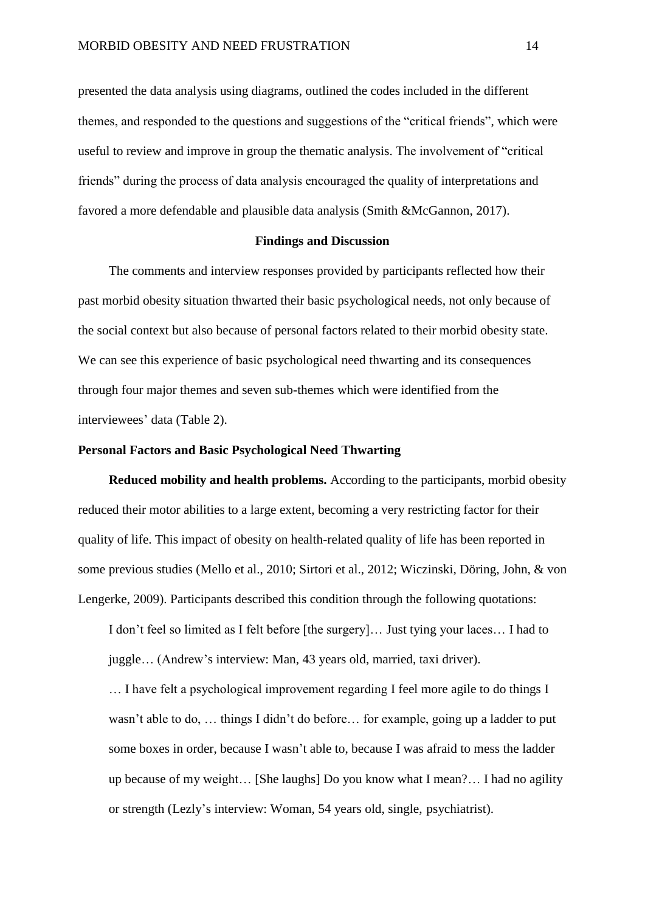presented the data analysis using diagrams, outlined the codes included in the different themes, and responded to the questions and suggestions of the "critical friends", which were useful to review and improve in group the thematic analysis. The involvement of "critical friends" during the process of data analysis encouraged the quality of interpretations and favored a more defendable and plausible data analysis (Smith &McGannon, 2017).

#### **Findings and Discussion**

The comments and interview responses provided by participants reflected how their past morbid obesity situation thwarted their basic psychological needs, not only because of the social context but also because of personal factors related to their morbid obesity state. We can see this experience of basic psychological need thwarting and its consequences through four major themes and seven sub-themes which were identified from the interviewees' data (Table 2).

# **Personal Factors and Basic Psychological Need Thwarting**

**Reduced mobility and health problems.** According to the participants, morbid obesity reduced their motor abilities to a large extent, becoming a very restricting factor for their quality of life. This impact of obesity on health-related quality of life has been reported in some previous studies (Mello et al., 2010; Sirtori et al., 2012; Wiczinski, Döring, John, & von Lengerke, 2009). Participants described this condition through the following quotations:

I don't feel so limited as I felt before [the surgery]… Just tying your laces… I had to juggle… (Andrew's interview: Man, 43 years old, married, taxi driver).

… I have felt a psychological improvement regarding I feel more agile to do things I wasn't able to do, … things I didn't do before… for example, going up a ladder to put some boxes in order, because I wasn't able to, because I was afraid to mess the ladder up because of my weight… [She laughs] Do you know what I mean?… I had no agility or strength (Lezly's interview: Woman, 54 years old, single, psychiatrist).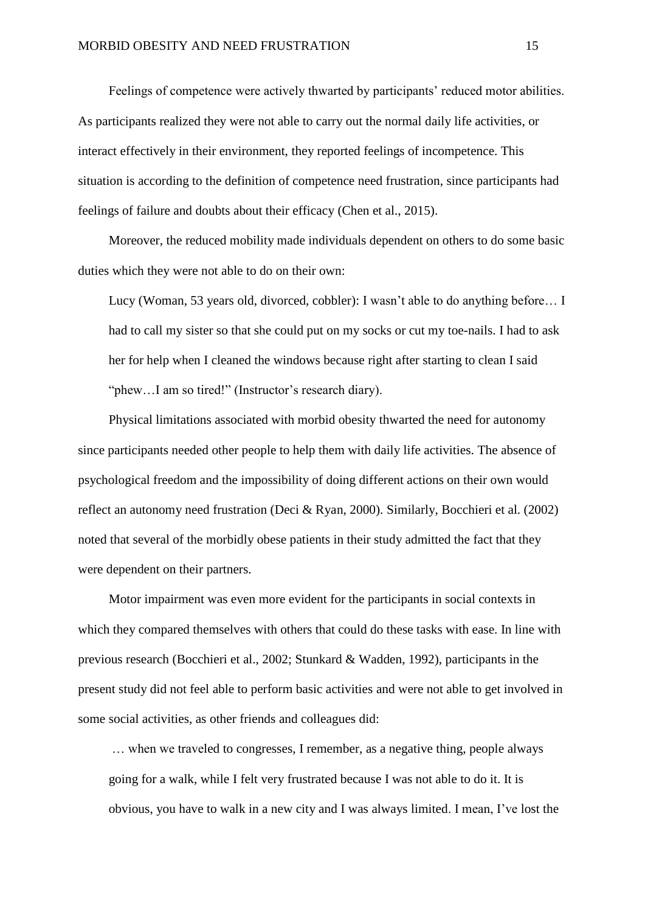Feelings of competence were actively thwarted by participants' reduced motor abilities. As participants realized they were not able to carry out the normal daily life activities, or interact effectively in their environment, they reported feelings of incompetence. This situation is according to the definition of competence need frustration, since participants had feelings of failure and doubts about their efficacy (Chen et al., 2015).

Moreover, the reduced mobility made individuals dependent on others to do some basic duties which they were not able to do on their own:

Lucy (Woman, 53 years old, divorced, cobbler): I wasn't able to do anything before… I had to call my sister so that she could put on my socks or cut my toe-nails. I had to ask her for help when I cleaned the windows because right after starting to clean I said "phew...I am so tired!" (Instructor's research diary).

Physical limitations associated with morbid obesity thwarted the need for autonomy since participants needed other people to help them with daily life activities. The absence of psychological freedom and the impossibility of doing different actions on their own would reflect an autonomy need frustration (Deci & Ryan, 2000). Similarly, Bocchieri et al. (2002) noted that several of the morbidly obese patients in their study admitted the fact that they were dependent on their partners.

Motor impairment was even more evident for the participants in social contexts in which they compared themselves with others that could do these tasks with ease. In line with previous research (Bocchieri et al., 2002; Stunkard & Wadden, 1992), participants in the present study did not feel able to perform basic activities and were not able to get involved in some social activities, as other friends and colleagues did:

… when we traveled to congresses, I remember, as a negative thing, people always going for a walk, while I felt very frustrated because I was not able to do it. It is obvious, you have to walk in a new city and I was always limited. I mean, I've lost the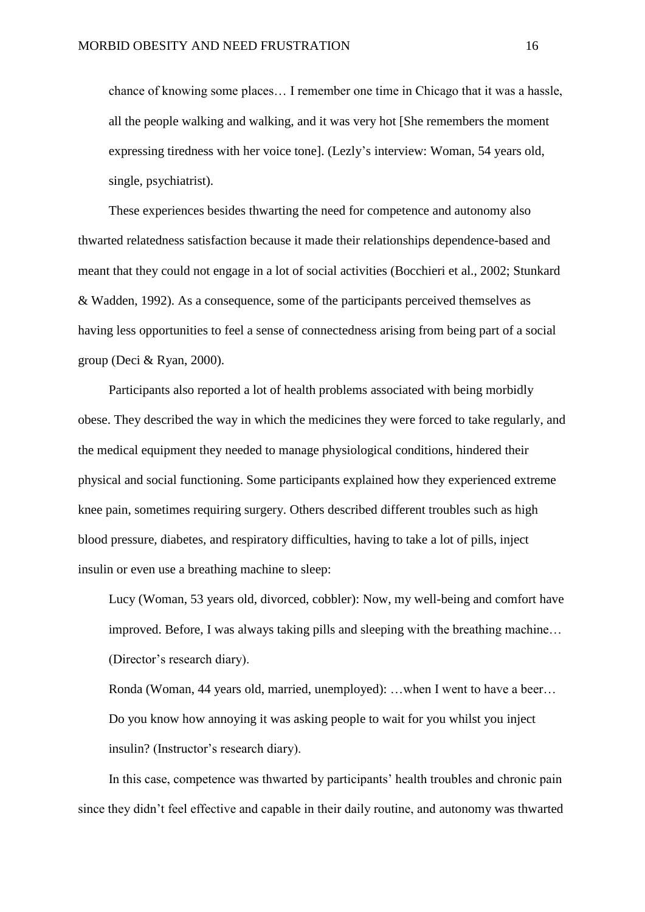chance of knowing some places… I remember one time in Chicago that it was a hassle, all the people walking and walking, and it was very hot [She remembers the moment expressing tiredness with her voice tone]. (Lezly's interview: Woman, 54 years old, single, psychiatrist).

These experiences besides thwarting the need for competence and autonomy also thwarted relatedness satisfaction because it made their relationships dependence-based and meant that they could not engage in a lot of social activities (Bocchieri et al., 2002; Stunkard & Wadden, 1992). As a consequence, some of the participants perceived themselves as having less opportunities to feel a sense of connectedness arising from being part of a social group (Deci & Ryan, 2000).

Participants also reported a lot of health problems associated with being morbidly obese. They described the way in which the medicines they were forced to take regularly, and the medical equipment they needed to manage physiological conditions, hindered their physical and social functioning. Some participants explained how they experienced extreme knee pain, sometimes requiring surgery. Others described different troubles such as high blood pressure, diabetes, and respiratory difficulties, having to take a lot of pills, inject insulin or even use a breathing machine to sleep:

Lucy (Woman, 53 years old, divorced, cobbler): Now, my well-being and comfort have improved. Before, I was always taking pills and sleeping with the breathing machine… (Director's research diary).

Ronda (Woman, 44 years old, married, unemployed): …when I went to have a beer… Do you know how annoying it was asking people to wait for you whilst you inject insulin? (Instructor's research diary).

In this case, competence was thwarted by participants' health troubles and chronic pain since they didn't feel effective and capable in their daily routine, and autonomy was thwarted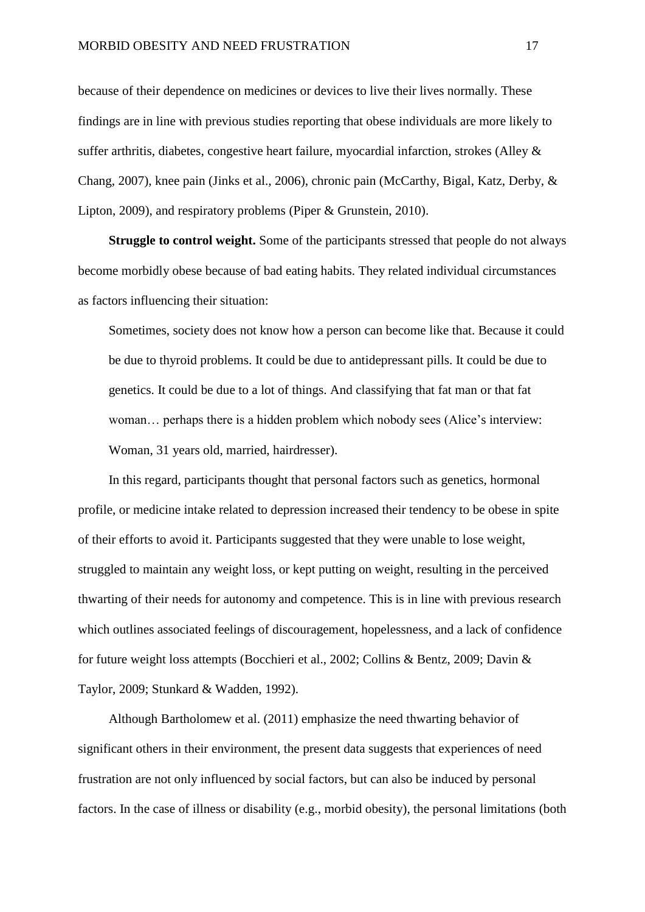because of their dependence on medicines or devices to live their lives normally. These findings are in line with previous studies reporting that obese individuals are more likely to suffer arthritis, diabetes, congestive heart failure, myocardial infarction, strokes (Alley & Chang, 2007), knee pain (Jinks et al., 2006), chronic pain (McCarthy, Bigal, Katz, Derby, & Lipton, 2009), and respiratory problems (Piper & Grunstein, 2010).

**Struggle to control weight.** Some of the participants stressed that people do not always become morbidly obese because of bad eating habits. They related individual circumstances as factors influencing their situation:

Sometimes, society does not know how a person can become like that. Because it could be due to thyroid problems. It could be due to antidepressant pills. It could be due to genetics. It could be due to a lot of things. And classifying that fat man or that fat woman… perhaps there is a hidden problem which nobody sees (Alice's interview: Woman, 31 years old, married, hairdresser).

In this regard, participants thought that personal factors such as genetics, hormonal profile, or medicine intake related to depression increased their tendency to be obese in spite of their efforts to avoid it. Participants suggested that they were unable to lose weight, struggled to maintain any weight loss, or kept putting on weight, resulting in the perceived thwarting of their needs for autonomy and competence. This is in line with previous research which outlines associated feelings of discouragement, hopelessness, and a lack of confidence for future weight loss attempts (Bocchieri et al., 2002; Collins & Bentz, 2009; Davin & Taylor, 2009; Stunkard & Wadden, 1992).

Although Bartholomew et al. (2011) emphasize the need thwarting behavior of significant others in their environment, the present data suggests that experiences of need frustration are not only influenced by social factors, but can also be induced by personal factors. In the case of illness or disability (e.g., morbid obesity), the personal limitations (both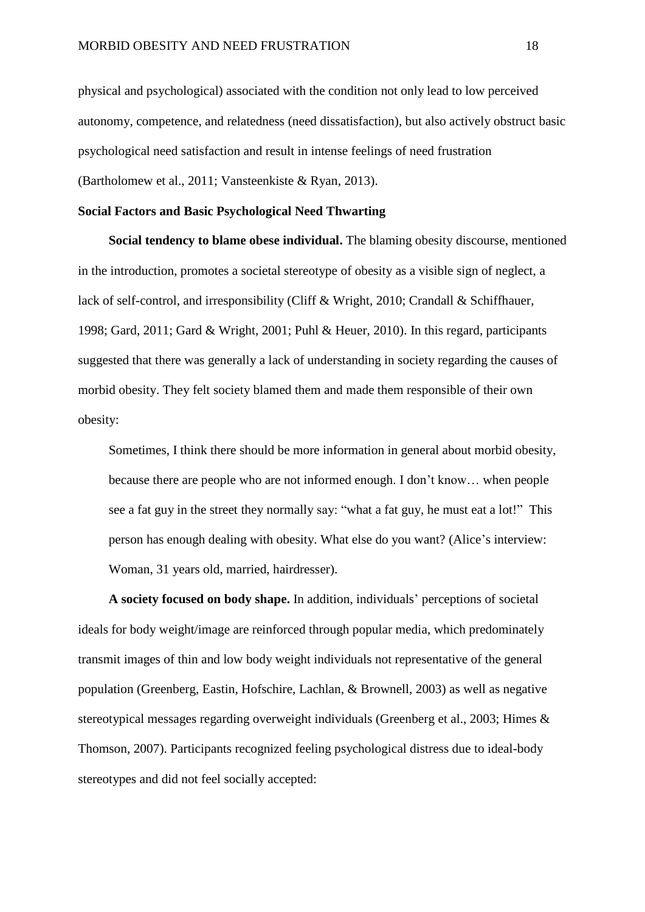physical and psychological) associated with the condition not only lead to low perceived autonomy, competence, and relatedness (need dissatisfaction), but also actively obstruct basic psychological need satisfaction and result in intense feelings of need frustration (Bartholomew et al., 2011; Vansteenkiste & Ryan, 2013).

# **Social Factors and Basic Psychological Need Thwarting**

**Social tendency to blame obese individual.** The blaming obesity discourse, mentioned in the introduction, promotes a societal stereotype of obesity as a visible sign of neglect, a lack of self-control, and irresponsibility (Cliff & Wright, 2010; Crandall & Schiffhauer, 1998; Gard, 2011; Gard & Wright, 2001; Puhl & Heuer, 2010). In this regard, participants suggested that there was generally a lack of understanding in society regarding the causes of morbid obesity. They felt society blamed them and made them responsible of their own obesity:

Sometimes, I think there should be more information in general about morbid obesity, because there are people who are not informed enough. I don't know… when people see a fat guy in the street they normally say: "what a fat guy, he must eat a lot!" This person has enough dealing with obesity. What else do you want? (Alice's interview: Woman, 31 years old, married, hairdresser).

**A society focused on body shape.** In addition, individuals' perceptions of societal ideals for body weight/image are reinforced through popular media, which predominately transmit images of thin and low body weight individuals not representative of the general population (Greenberg, Eastin, Hofschire, Lachlan, & Brownell, 2003) as well as negative stereotypical messages regarding overweight individuals (Greenberg et al., 2003; Himes & Thomson, 2007). Participants recognized feeling psychological distress due to ideal-body stereotypes and did not feel socially accepted: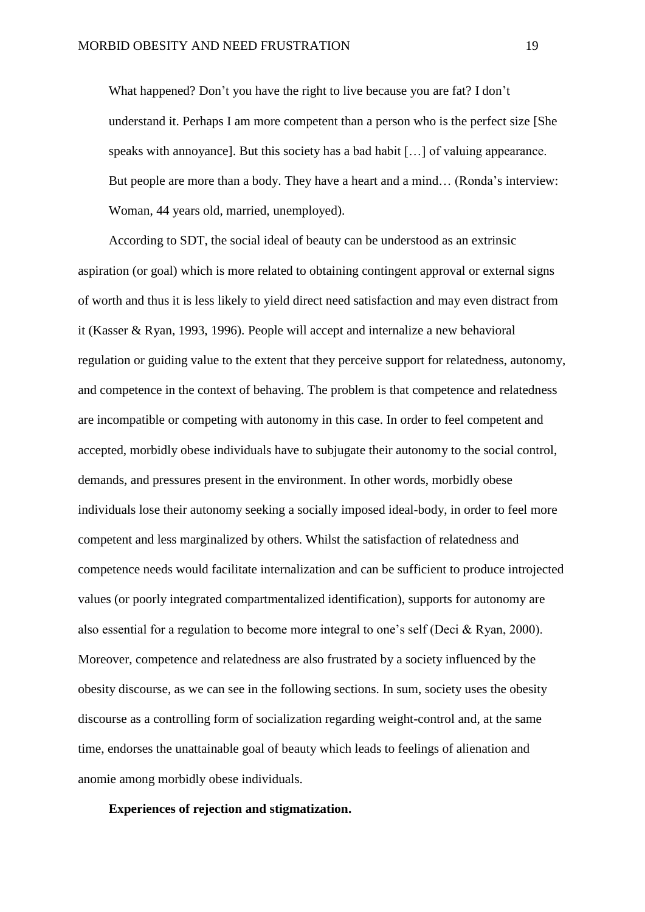What happened? Don't you have the right to live because you are fat? I don't understand it. Perhaps I am more competent than a person who is the perfect size [She speaks with annoyance]. But this society has a bad habit […] of valuing appearance. But people are more than a body. They have a heart and a mind… (Ronda's interview: Woman, 44 years old, married, unemployed).

According to SDT, the social ideal of beauty can be understood as an extrinsic aspiration (or goal) which is more related to obtaining contingent approval or external signs of worth and thus it is less likely to yield direct need satisfaction and may even distract from it (Kasser & Ryan, 1993, 1996). People will accept and internalize a new behavioral regulation or guiding value to the extent that they perceive support for relatedness, autonomy, and competence in the context of behaving. The problem is that competence and relatedness are incompatible or competing with autonomy in this case. In order to feel competent and accepted, morbidly obese individuals have to subjugate their autonomy to the social control, demands, and pressures present in the environment. In other words, morbidly obese individuals lose their autonomy seeking a socially imposed ideal-body, in order to feel more competent and less marginalized by others. Whilst the satisfaction of relatedness and competence needs would facilitate internalization and can be sufficient to produce introjected values (or poorly integrated compartmentalized identification), supports for autonomy are also essential for a regulation to become more integral to one's self (Deci & Ryan, 2000). Moreover, competence and relatedness are also frustrated by a society influenced by the obesity discourse, as we can see in the following sections. In sum, society uses the obesity discourse as a controlling form of socialization regarding weight-control and, at the same time, endorses the unattainable goal of beauty which leads to feelings of alienation and anomie among morbidly obese individuals.

## **Experiences of rejection and stigmatization.**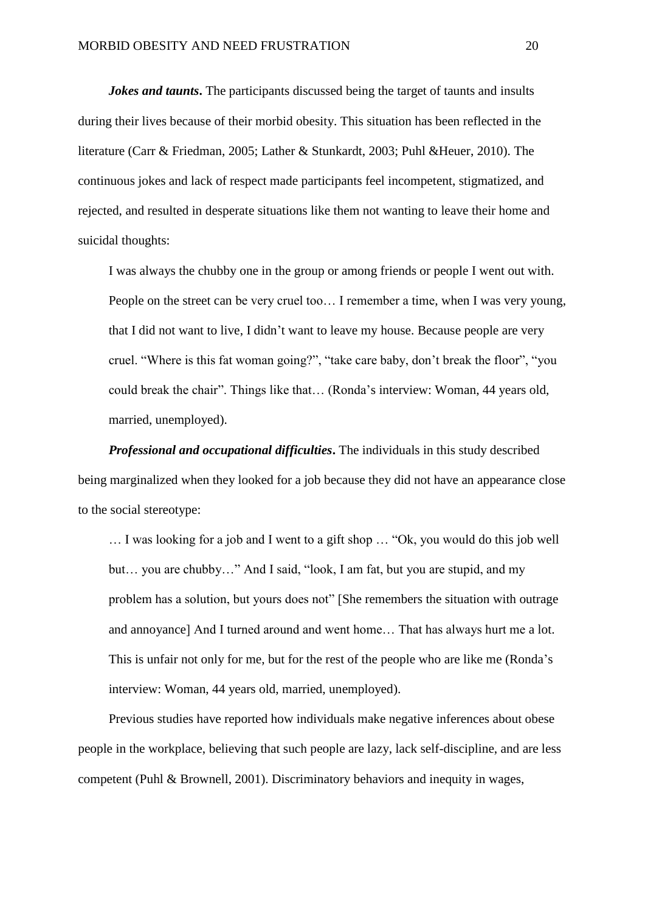*Jokes and taunts*. The participants discussed being the target of taunts and insults during their lives because of their morbid obesity. This situation has been reflected in the literature (Carr & Friedman, 2005; Lather & Stunkardt, 2003; Puhl &Heuer, 2010). The continuous jokes and lack of respect made participants feel incompetent, stigmatized, and rejected, and resulted in desperate situations like them not wanting to leave their home and suicidal thoughts:

I was always the chubby one in the group or among friends or people I went out with. People on the street can be very cruel too… I remember a time, when I was very young, that I did not want to live, I didn't want to leave my house. Because people are very cruel. "Where is this fat woman going?", "take care baby, don't break the floor", "you could break the chair". Things like that… (Ronda's interview: Woman, 44 years old, married, unemployed).

*Professional and occupational difficulties***.** The individuals in this study described being marginalized when they looked for a job because they did not have an appearance close to the social stereotype:

… I was looking for a job and I went to a gift shop … "Ok, you would do this job well but… you are chubby…" And I said, "look, I am fat, but you are stupid, and my problem has a solution, but yours does not" [She remembers the situation with outrage and annoyance] And I turned around and went home… That has always hurt me a lot. This is unfair not only for me, but for the rest of the people who are like me (Ronda's interview: Woman, 44 years old, married, unemployed).

Previous studies have reported how individuals make negative inferences about obese people in the workplace, believing that such people are lazy, lack self-discipline, and are less competent (Puhl & Brownell, 2001). Discriminatory behaviors and inequity in wages,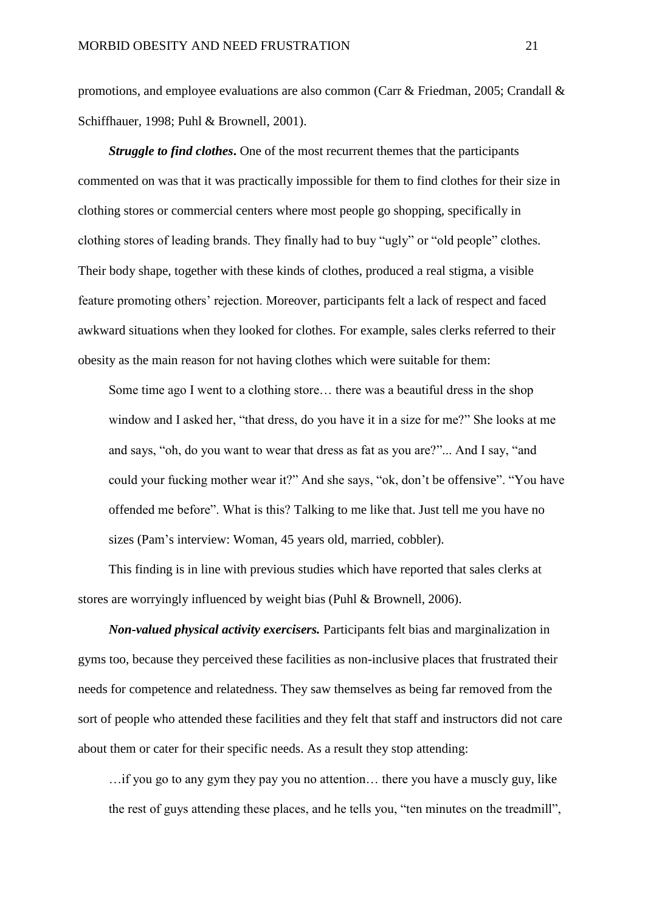promotions, and employee evaluations are also common (Carr & Friedman, 2005; Crandall & Schiffhauer, 1998; Puhl & Brownell, 2001).

*Struggle to find clothes***.** One of the most recurrent themes that the participants commented on was that it was practically impossible for them to find clothes for their size in clothing stores or commercial centers where most people go shopping, specifically in clothing stores of leading brands. They finally had to buy "ugly" or "old people" clothes. Their body shape, together with these kinds of clothes, produced a real stigma, a visible feature promoting others' rejection. Moreover, participants felt a lack of respect and faced awkward situations when they looked for clothes. For example, sales clerks referred to their obesity as the main reason for not having clothes which were suitable for them:

Some time ago I went to a clothing store… there was a beautiful dress in the shop window and I asked her, "that dress, do you have it in a size for me?" She looks at me and says, "oh, do you want to wear that dress as fat as you are?"... And I say, "and could your fucking mother wear it?" And she says, "ok, don't be offensive". "You have offended me before". What is this? Talking to me like that. Just tell me you have no sizes (Pam's interview: Woman, 45 years old, married, cobbler).

This finding is in line with previous studies which have reported that sales clerks at stores are worryingly influenced by weight bias (Puhl & Brownell, 2006).

*Non-valued physical activity exercisers.* Participants felt bias and marginalization in gyms too, because they perceived these facilities as non-inclusive places that frustrated their needs for competence and relatedness. They saw themselves as being far removed from the sort of people who attended these facilities and they felt that staff and instructors did not care about them or cater for their specific needs. As a result they stop attending:

…if you go to any gym they pay you no attention… there you have a muscly guy, like the rest of guys attending these places, and he tells you, "ten minutes on the treadmill",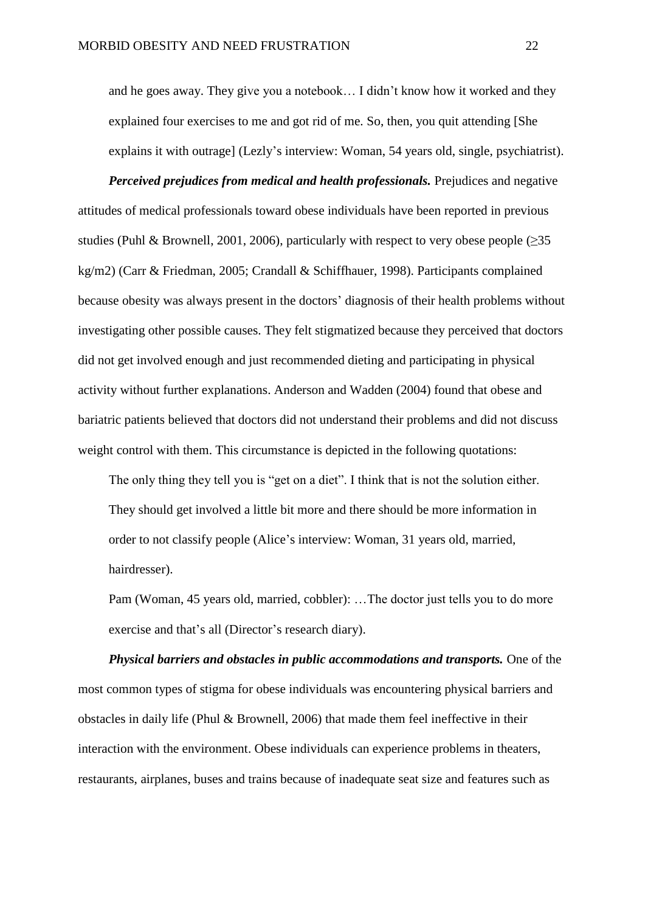and he goes away. They give you a notebook… I didn't know how it worked and they explained four exercises to me and got rid of me. So, then, you quit attending [She explains it with outrage] (Lezly's interview: Woman, 54 years old, single, psychiatrist).

*Perceived prejudices from medical and health professionals.* Prejudices and negative attitudes of medical professionals toward obese individuals have been reported in previous studies (Puhl & Brownell, 2001, 2006), particularly with respect to very obese people ( $\geq 35$ ) kg/m2) (Carr & Friedman, 2005; Crandall & Schiffhauer, 1998). Participants complained because obesity was always present in the doctors' diagnosis of their health problems without investigating other possible causes. They felt stigmatized because they perceived that doctors did not get involved enough and just recommended dieting and participating in physical activity without further explanations. Anderson and Wadden (2004) found that obese and bariatric patients believed that doctors did not understand their problems and did not discuss weight control with them. This circumstance is depicted in the following quotations:

The only thing they tell you is "get on a diet". I think that is not the solution either. They should get involved a little bit more and there should be more information in order to not classify people (Alice's interview: Woman, 31 years old, married, hairdresser).

Pam (Woman, 45 years old, married, cobbler): …The doctor just tells you to do more exercise and that's all (Director's research diary).

*Physical barriers and obstacles in public accommodations and transports.* One of the most common types of stigma for obese individuals was encountering physical barriers and obstacles in daily life (Phul & Brownell, 2006) that made them feel ineffective in their interaction with the environment. Obese individuals can experience problems in theaters, restaurants, airplanes, buses and trains because of inadequate seat size and features such as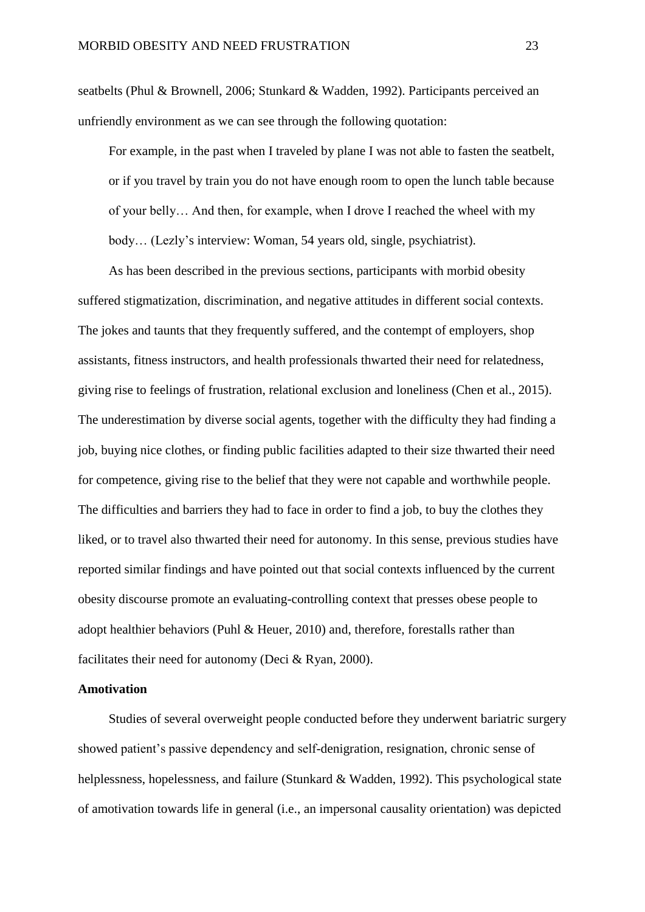seatbelts (Phul & Brownell, 2006; Stunkard & Wadden, 1992). Participants perceived an unfriendly environment as we can see through the following quotation:

For example, in the past when I traveled by plane I was not able to fasten the seatbelt, or if you travel by train you do not have enough room to open the lunch table because of your belly… And then, for example, when I drove I reached the wheel with my body… (Lezly's interview: Woman, 54 years old, single, psychiatrist).

As has been described in the previous sections, participants with morbid obesity suffered stigmatization, discrimination, and negative attitudes in different social contexts. The jokes and taunts that they frequently suffered, and the contempt of employers, shop assistants, fitness instructors, and health professionals thwarted their need for relatedness, giving rise to feelings of frustration, relational exclusion and loneliness (Chen et al., 2015). The underestimation by diverse social agents, together with the difficulty they had finding a job, buying nice clothes, or finding public facilities adapted to their size thwarted their need for competence, giving rise to the belief that they were not capable and worthwhile people. The difficulties and barriers they had to face in order to find a job, to buy the clothes they liked, or to travel also thwarted their need for autonomy. In this sense, previous studies have reported similar findings and have pointed out that social contexts influenced by the current obesity discourse promote an evaluating-controlling context that presses obese people to adopt healthier behaviors (Puhl & Heuer, 2010) and, therefore, forestalls rather than facilitates their need for autonomy (Deci & Ryan, 2000).

### **Amotivation**

Studies of several overweight people conducted before they underwent bariatric surgery showed patient's passive dependency and self-denigration, resignation, chronic sense of helplessness, hopelessness, and failure (Stunkard & Wadden, 1992). This psychological state of amotivation towards life in general (i.e., an impersonal causality orientation) was depicted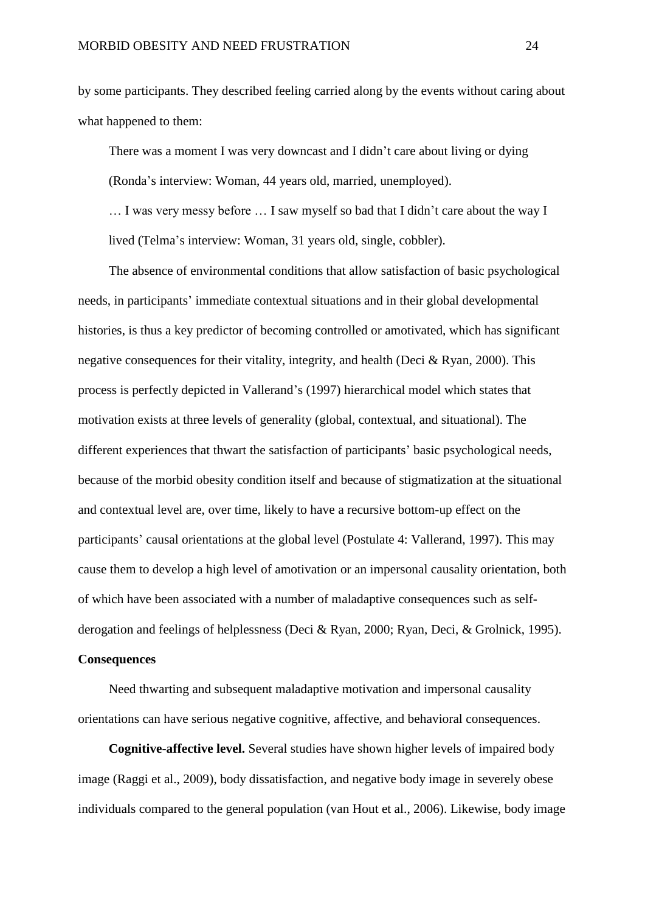by some participants. They described feeling carried along by the events without caring about what happened to them:

There was a moment I was very downcast and I didn't care about living or dying (Ronda's interview: Woman, 44 years old, married, unemployed).

… I was very messy before … I saw myself so bad that I didn't care about the way I lived (Telma's interview: Woman, 31 years old, single, cobbler).

The absence of environmental conditions that allow satisfaction of basic psychological needs, in participants' immediate contextual situations and in their global developmental histories, is thus a key predictor of becoming controlled or amotivated, which has significant negative consequences for their vitality, integrity, and health (Deci & Ryan, 2000). This process is perfectly depicted in Vallerand's (1997) hierarchical model which states that motivation exists at three levels of generality (global, contextual, and situational). The different experiences that thwart the satisfaction of participants' basic psychological needs, because of the morbid obesity condition itself and because of stigmatization at the situational and contextual level are, over time, likely to have a recursive bottom-up effect on the participants' causal orientations at the global level (Postulate 4: Vallerand, 1997). This may cause them to develop a high level of amotivation or an impersonal causality orientation, both of which have been associated with a number of maladaptive consequences such as selfderogation and feelings of helplessness (Deci & Ryan, 2000; Ryan, Deci, & Grolnick, 1995).

# **Consequences**

Need thwarting and subsequent maladaptive motivation and impersonal causality orientations can have serious negative cognitive, affective, and behavioral consequences.

**Cognitive-affective level.** Several studies have shown higher levels of impaired body image (Raggi et al., 2009), body dissatisfaction, and negative body image in severely obese individuals compared to the general population (van Hout et al., 2006). Likewise, body image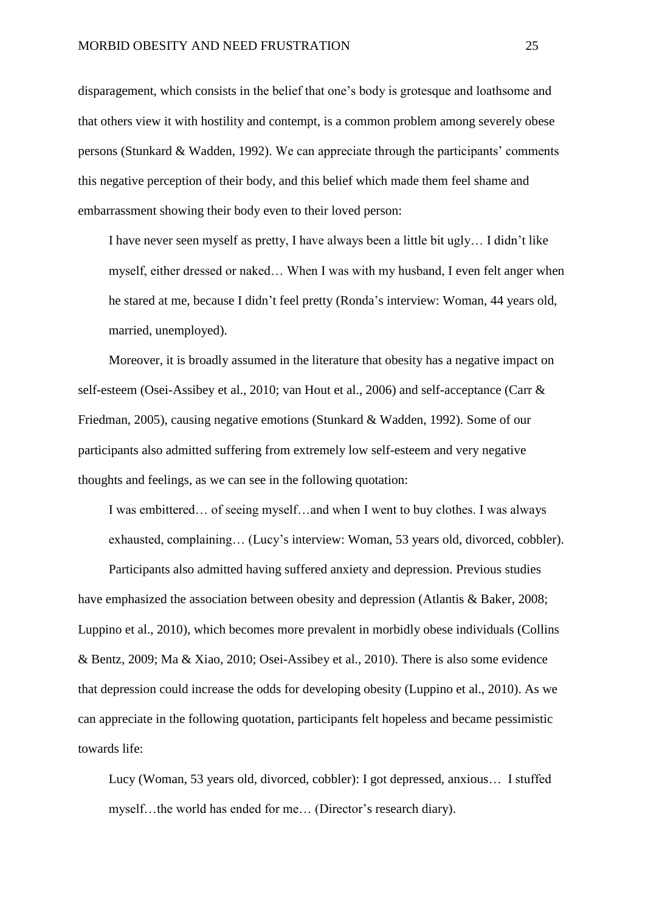disparagement, which consists in the belief that one's body is grotesque and loathsome and that others view it with hostility and contempt, is a common problem among severely obese persons (Stunkard & Wadden, 1992). We can appreciate through the participants' comments this negative perception of their body, and this belief which made them feel shame and embarrassment showing their body even to their loved person:

I have never seen myself as pretty, I have always been a little bit ugly… I didn't like myself, either dressed or naked… When I was with my husband, I even felt anger when he stared at me, because I didn't feel pretty (Ronda's interview: Woman, 44 years old, married, unemployed).

Moreover, it is broadly assumed in the literature that obesity has a negative impact on self-esteem (Osei-Assibey et al., 2010; van Hout et al., 2006) and self-acceptance (Carr & Friedman, 2005), causing negative emotions (Stunkard & Wadden, 1992). Some of our participants also admitted suffering from extremely low self-esteem and very negative thoughts and feelings, as we can see in the following quotation:

I was embittered… of seeing myself…and when I went to buy clothes. I was always exhausted, complaining… (Lucy's interview: Woman, 53 years old, divorced, cobbler).

Participants also admitted having suffered anxiety and depression. Previous studies have emphasized the association between obesity and depression (Atlantis & Baker, 2008; Luppino et al., 2010), which becomes more prevalent in morbidly obese individuals (Collins & Bentz, 2009; Ma & Xiao, 2010; Osei-Assibey et al., 2010). There is also some evidence that depression could increase the odds for developing obesity (Luppino et al., 2010). As we can appreciate in the following quotation, participants felt hopeless and became pessimistic towards life:

Lucy (Woman, 53 years old, divorced, cobbler): I got depressed, anxious… I stuffed myself…the world has ended for me… (Director's research diary).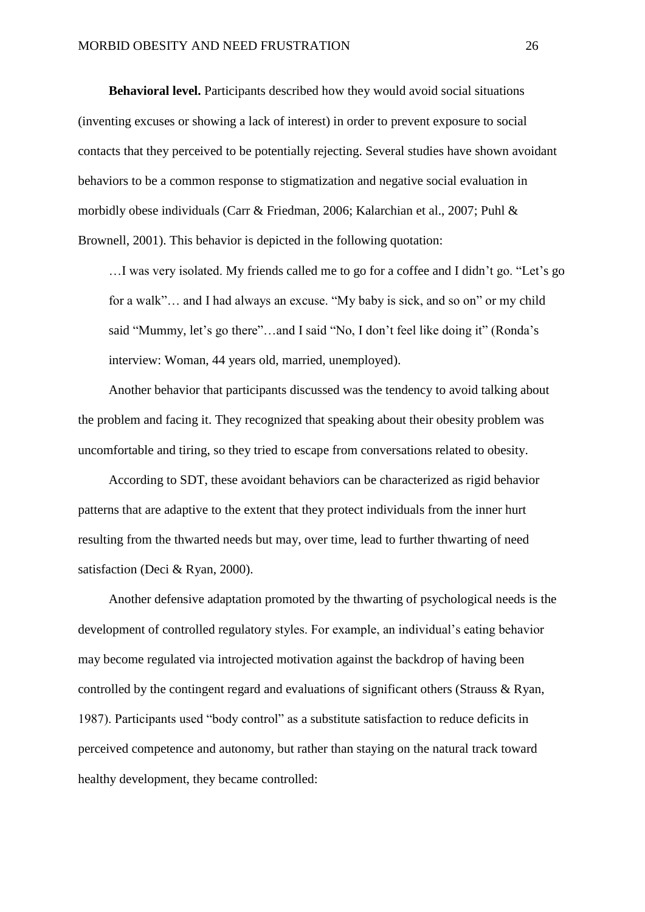**Behavioral level.** Participants described how they would avoid social situations (inventing excuses or showing a lack of interest) in order to prevent exposure to social contacts that they perceived to be potentially rejecting. Several studies have shown avoidant behaviors to be a common response to stigmatization and negative social evaluation in morbidly obese individuals (Carr & Friedman, 2006; Kalarchian et al., 2007; Puhl & Brownell, 2001). This behavior is depicted in the following quotation:

…I was very isolated. My friends called me to go for a coffee and I didn't go. "Let's go for a walk"… and I had always an excuse. "My baby is sick, and so on" or my child said "Mummy, let's go there"…and I said "No, I don't feel like doing it" (Ronda's interview: Woman, 44 years old, married, unemployed).

Another behavior that participants discussed was the tendency to avoid talking about the problem and facing it. They recognized that speaking about their obesity problem was uncomfortable and tiring, so they tried to escape from conversations related to obesity.

According to SDT, these avoidant behaviors can be characterized as rigid behavior patterns that are adaptive to the extent that they protect individuals from the inner hurt resulting from the thwarted needs but may, over time, lead to further thwarting of need satisfaction (Deci & Ryan, 2000).

Another defensive adaptation promoted by the thwarting of psychological needs is the development of controlled regulatory styles. For example, an individual's eating behavior may become regulated via introjected motivation against the backdrop of having been controlled by the contingent regard and evaluations of significant others (Strauss & Ryan, 1987). Participants used "body control" as a substitute satisfaction to reduce deficits in perceived competence and autonomy, but rather than staying on the natural track toward healthy development, they became controlled: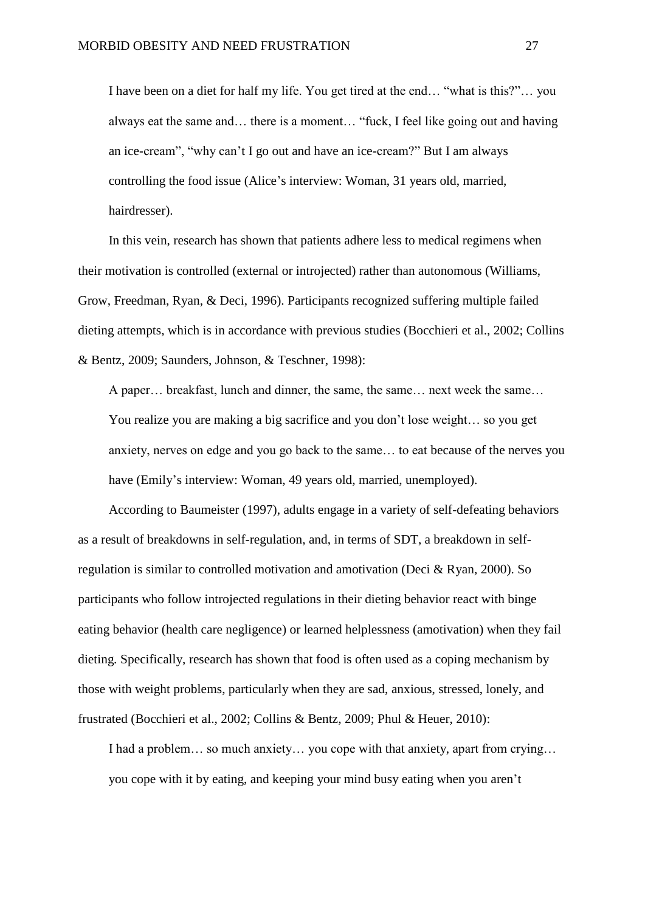I have been on a diet for half my life. You get tired at the end… "what is this?"… you always eat the same and… there is a moment… "fuck, I feel like going out and having an ice-cream", "why can't I go out and have an ice-cream?" But I am always controlling the food issue (Alice's interview: Woman, 31 years old, married, hairdresser).

In this vein, research has shown that patients adhere less to medical regimens when their motivation is controlled (external or introjected) rather than autonomous (Williams, Grow, Freedman, Ryan, & Deci, 1996). Participants recognized suffering multiple failed dieting attempts, which is in accordance with previous studies (Bocchieri et al., 2002; Collins & Bentz, 2009; Saunders, Johnson, & Teschner, 1998):

A paper… breakfast, lunch and dinner, the same, the same… next week the same… You realize you are making a big sacrifice and you don't lose weight… so you get anxiety, nerves on edge and you go back to the same… to eat because of the nerves you have (Emily's interview: Woman, 49 years old, married, unemployed).

According to Baumeister (1997), adults engage in a variety of self-defeating behaviors as a result of breakdowns in self-regulation, and, in terms of SDT, a breakdown in selfregulation is similar to controlled motivation and amotivation (Deci & Ryan, 2000). So participants who follow introjected regulations in their dieting behavior react with binge eating behavior (health care negligence) or learned helplessness (amotivation) when they fail dieting*.* Specifically, research has shown that food is often used as a coping mechanism by those with weight problems, particularly when they are sad, anxious, stressed, lonely, and frustrated (Bocchieri et al., 2002; Collins & Bentz, 2009; Phul & Heuer, 2010):

I had a problem… so much anxiety… you cope with that anxiety, apart from crying… you cope with it by eating, and keeping your mind busy eating when you aren't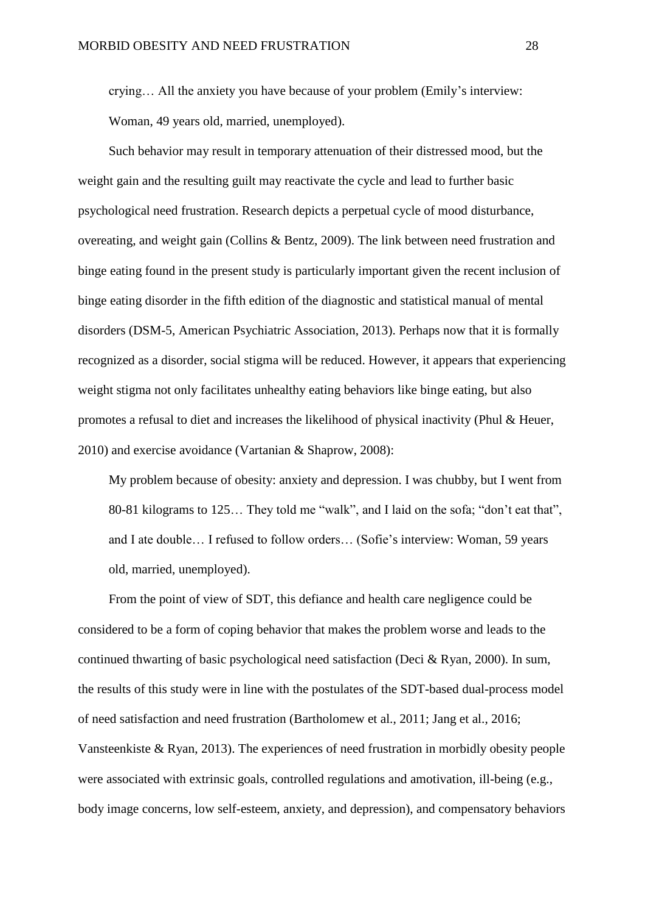crying… All the anxiety you have because of your problem (Emily's interview: Woman, 49 years old, married, unemployed).

Such behavior may result in temporary attenuation of their distressed mood, but the weight gain and the resulting guilt may reactivate the cycle and lead to further basic psychological need frustration. Research depicts a perpetual cycle of mood disturbance, overeating, and weight gain (Collins & Bentz, 2009). The link between need frustration and binge eating found in the present study is particularly important given the recent inclusion of binge eating disorder in the fifth edition of the diagnostic and statistical manual of mental disorders (DSM-5, American Psychiatric Association, 2013). Perhaps now that it is formally recognized as a disorder, social stigma will be reduced. However, it appears that experiencing weight stigma not only facilitates unhealthy eating behaviors like binge eating, but also promotes a refusal to diet and increases the likelihood of physical inactivity (Phul & Heuer, 2010) and exercise avoidance (Vartanian & Shaprow, 2008):

My problem because of obesity: anxiety and depression. I was chubby, but I went from 80-81 kilograms to 125… They told me "walk", and I laid on the sofa; "don't eat that", and I ate double… I refused to follow orders… (Sofie's interview: Woman, 59 years old, married, unemployed).

From the point of view of SDT, this defiance and health care negligence could be considered to be a form of coping behavior that makes the problem worse and leads to the continued thwarting of basic psychological need satisfaction (Deci & Ryan, 2000). In sum, the results of this study were in line with the postulates of the SDT-based dual-process model of need satisfaction and need frustration (Bartholomew et al., 2011; Jang et al., 2016; Vansteenkiste & Ryan, 2013). The experiences of need frustration in morbidly obesity people were associated with extrinsic goals, controlled regulations and amotivation, ill-being (e.g., body image concerns, low self-esteem, anxiety, and depression), and compensatory behaviors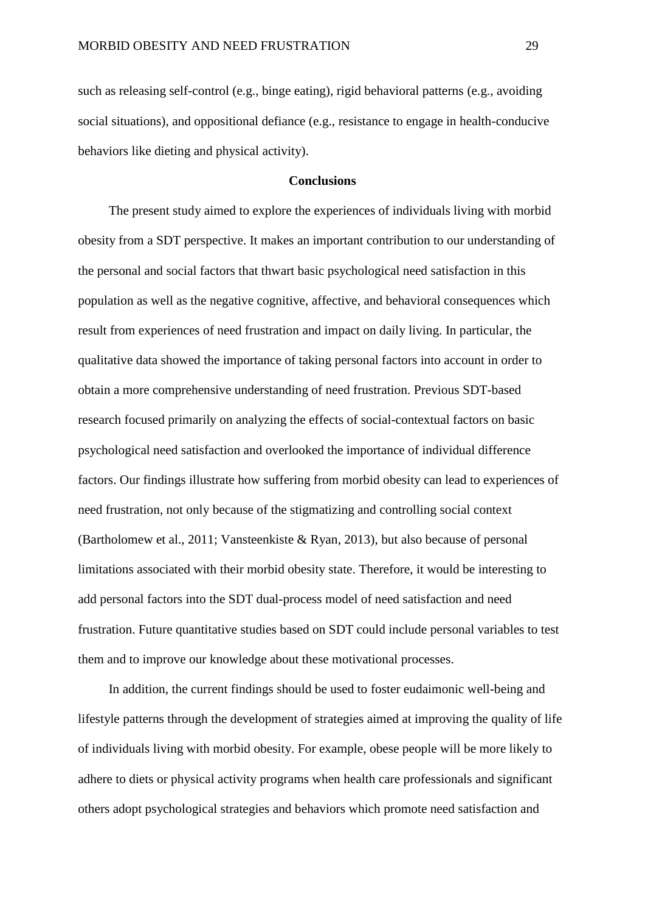such as releasing self-control (e.g., binge eating), rigid behavioral patterns (e.g., avoiding social situations), and oppositional defiance (e.g., resistance to engage in health-conducive behaviors like dieting and physical activity).

### **Conclusions**

The present study aimed to explore the experiences of individuals living with morbid obesity from a SDT perspective. It makes an important contribution to our understanding of the personal and social factors that thwart basic psychological need satisfaction in this population as well as the negative cognitive, affective, and behavioral consequences which result from experiences of need frustration and impact on daily living. In particular, the qualitative data showed the importance of taking personal factors into account in order to obtain a more comprehensive understanding of need frustration. Previous SDT-based research focused primarily on analyzing the effects of social-contextual factors on basic psychological need satisfaction and overlooked the importance of individual difference factors. Our findings illustrate how suffering from morbid obesity can lead to experiences of need frustration, not only because of the stigmatizing and controlling social context (Bartholomew et al., 2011; Vansteenkiste & Ryan, 2013), but also because of personal limitations associated with their morbid obesity state. Therefore, it would be interesting to add personal factors into the SDT dual-process model of need satisfaction and need frustration. Future quantitative studies based on SDT could include personal variables to test them and to improve our knowledge about these motivational processes.

In addition, the current findings should be used to foster eudaimonic well-being and lifestyle patterns through the development of strategies aimed at improving the quality of life of individuals living with morbid obesity. For example, obese people will be more likely to adhere to diets or physical activity programs when health care professionals and significant others adopt psychological strategies and behaviors which promote need satisfaction and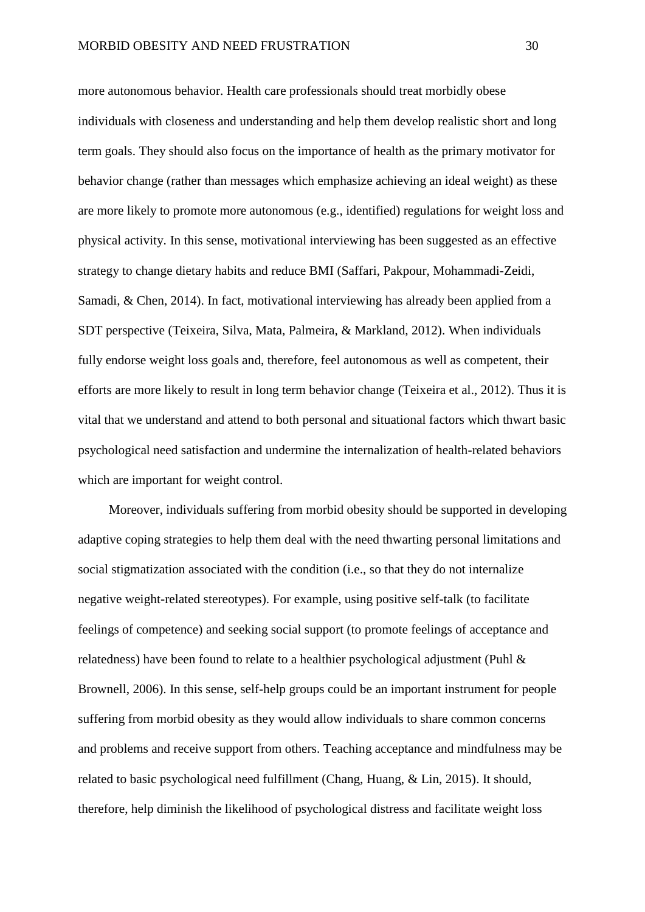more autonomous behavior. Health care professionals should treat morbidly obese individuals with closeness and understanding and help them develop realistic short and long term goals. They should also focus on the importance of health as the primary motivator for behavior change (rather than messages which emphasize achieving an ideal weight) as these are more likely to promote more autonomous (e.g., identified) regulations for weight loss and physical activity. In this sense, motivational interviewing has been suggested as an effective strategy to change dietary habits and reduce BMI (Saffari, Pakpour, Mohammadi-Zeidi, Samadi, & Chen, 2014). In fact, motivational interviewing has already been applied from a SDT perspective (Teixeira, Silva, Mata, Palmeira, & Markland, 2012). When individuals fully endorse weight loss goals and, therefore, feel autonomous as well as competent, their efforts are more likely to result in long term behavior change (Teixeira et al., 2012). Thus it is vital that we understand and attend to both personal and situational factors which thwart basic psychological need satisfaction and undermine the internalization of health-related behaviors which are important for weight control.

Moreover, individuals suffering from morbid obesity should be supported in developing adaptive coping strategies to help them deal with the need thwarting personal limitations and social stigmatization associated with the condition (i.e., so that they do not internalize negative weight-related stereotypes). For example, using positive self-talk (to facilitate feelings of competence) and seeking social support (to promote feelings of acceptance and relatedness) have been found to relate to a healthier psychological adjustment (Puhl & Brownell, 2006). In this sense, self-help groups could be an important instrument for people suffering from morbid obesity as they would allow individuals to share common concerns and problems and receive support from others. Teaching acceptance and mindfulness may be related to basic psychological need fulfillment (Chang, Huang, & Lin, 2015). It should, therefore, help diminish the likelihood of psychological distress and facilitate weight loss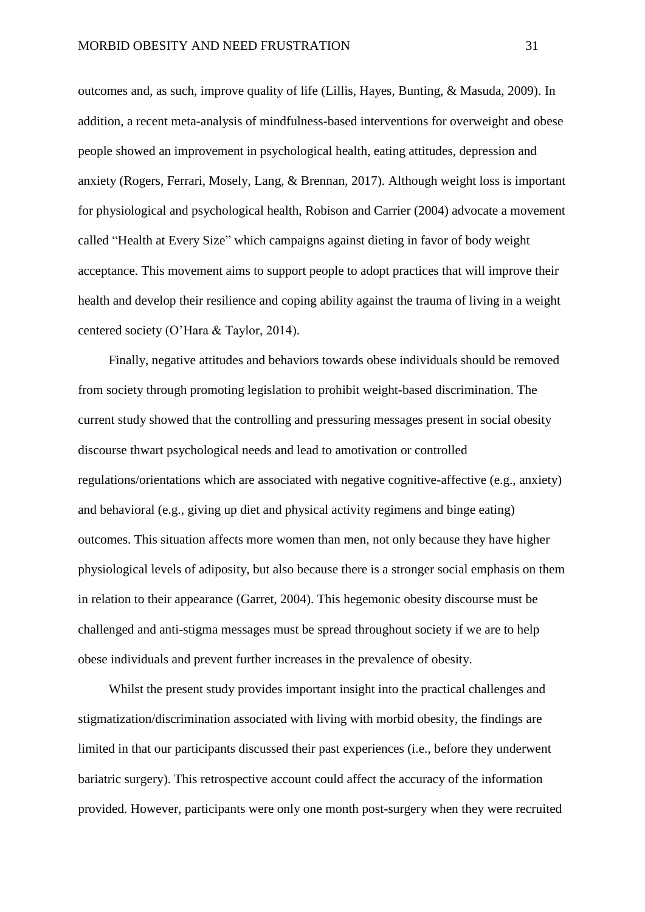outcomes and, as such, improve quality of life (Lillis, Hayes, Bunting, & Masuda, 2009). In addition, a recent meta-analysis of mindfulness-based interventions for overweight and obese people showed an improvement in psychological health, eating attitudes, depression and anxiety (Rogers, Ferrari, Mosely, Lang, & Brennan, 2017). Although weight loss is important for physiological and psychological health, Robison and Carrier (2004) advocate a movement called "Health at Every Size" which campaigns against dieting in favor of body weight acceptance. This movement aims to support people to adopt practices that will improve their health and develop their resilience and coping ability against the trauma of living in a weight centered society (O'Hara & Taylor, 2014).

Finally, negative attitudes and behaviors towards obese individuals should be removed from society through promoting legislation to prohibit weight-based discrimination. The current study showed that the controlling and pressuring messages present in social obesity discourse thwart psychological needs and lead to amotivation or controlled regulations/orientations which are associated with negative cognitive-affective (e.g., anxiety) and behavioral (e.g., giving up diet and physical activity regimens and binge eating) outcomes. This situation affects more women than men, not only because they have higher physiological levels of adiposity, but also because there is a stronger social emphasis on them in relation to their appearance (Garret, 2004). This hegemonic obesity discourse must be challenged and anti-stigma messages must be spread throughout society if we are to help obese individuals and prevent further increases in the prevalence of obesity.

Whilst the present study provides important insight into the practical challenges and stigmatization/discrimination associated with living with morbid obesity, the findings are limited in that our participants discussed their past experiences (i.e., before they underwent bariatric surgery). This retrospective account could affect the accuracy of the information provided. However, participants were only one month post-surgery when they were recruited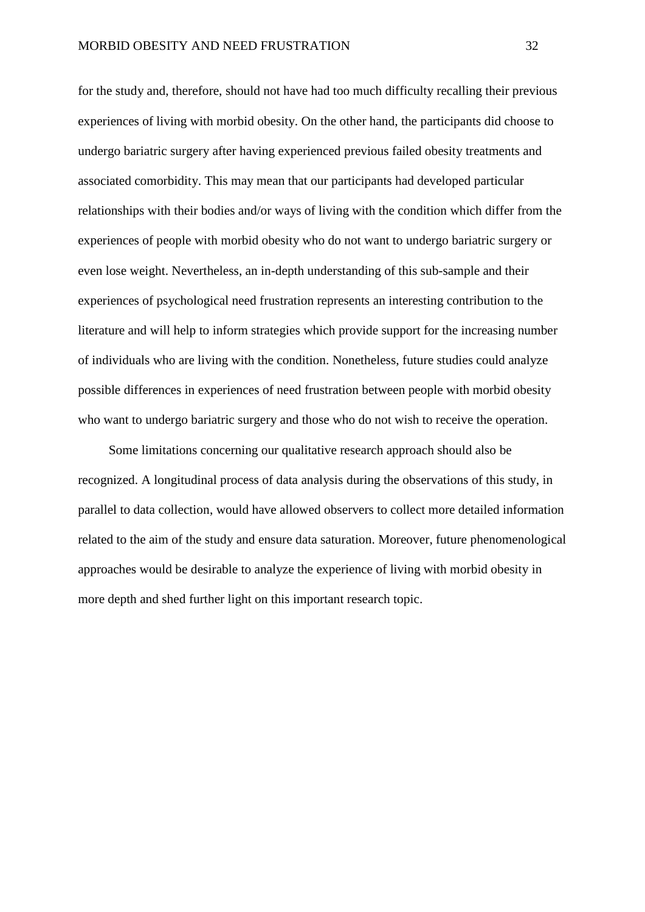for the study and, therefore, should not have had too much difficulty recalling their previous experiences of living with morbid obesity. On the other hand, the participants did choose to undergo bariatric surgery after having experienced previous failed obesity treatments and associated comorbidity. This may mean that our participants had developed particular relationships with their bodies and/or ways of living with the condition which differ from the experiences of people with morbid obesity who do not want to undergo bariatric surgery or even lose weight. Nevertheless, an in-depth understanding of this sub-sample and their experiences of psychological need frustration represents an interesting contribution to the literature and will help to inform strategies which provide support for the increasing number of individuals who are living with the condition. Nonetheless, future studies could analyze possible differences in experiences of need frustration between people with morbid obesity who want to undergo bariatric surgery and those who do not wish to receive the operation.

Some limitations concerning our qualitative research approach should also be recognized. A longitudinal process of data analysis during the observations of this study, in parallel to data collection, would have allowed observers to collect more detailed information related to the aim of the study and ensure data saturation. Moreover, future phenomenological approaches would be desirable to analyze the experience of living with morbid obesity in more depth and shed further light on this important research topic.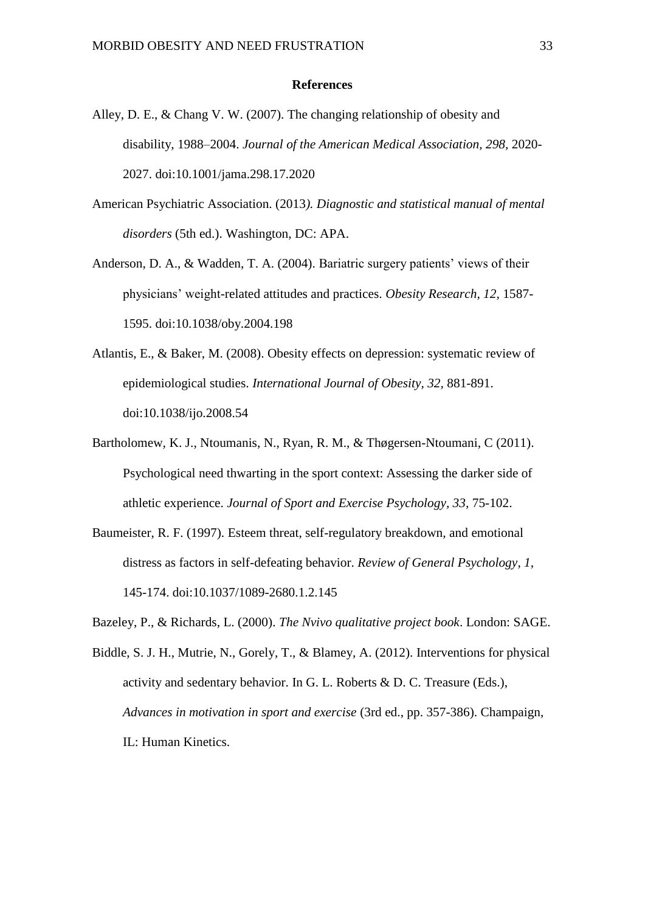#### **References**

- Alley, D. E., & Chang V. W. (2007). The changing relationship of obesity and disability, 1988–2004. *Journal of the American Medical Association, 298,* 2020- 2027. doi:10.1001/jama.298.17.2020
- American Psychiatric Association. (2013*). Diagnostic and statistical manual of mental disorders* (5th ed.). Washington, DC: APA.
- Anderson, D. A., & Wadden, T. A. (2004). Bariatric surgery patients' views of their physicians' weight-related attitudes and practices. *Obesity Research, 12,* 1587- 1595. doi:10.1038/oby.2004.198
- Atlantis, E., & Baker, M. (2008). Obesity effects on depression: systematic review of epidemiological studies. *International Journal of Obesity, 32,* 881-891. doi:10.1038/ijo.2008.54
- Bartholomew, K. J., Ntoumanis, N., Ryan, R. M., & Thøgersen-Ntoumani, C (2011). Psychological need thwarting in the sport context: Assessing the darker side of athletic experience. *Journal of Sport and Exercise Psychology, 33,* 75-102.
- Baumeister, R. F. (1997). Esteem threat, self-regulatory breakdown, and emotional distress as factors in self-defeating behavior. *Review of General Psychology, 1,* 145-174. doi:10.1037/1089-2680.1.2.145
- Bazeley, P., & Richards, L. (2000). *The Nvivo qualitative project book*. London: SAGE.
- Biddle, S. J. H., Mutrie, N., Gorely, T., & Blamey, A. (2012). Interventions for physical activity and sedentary behavior. In G. L. Roberts & D. C. Treasure (Eds.), *Advances in motivation in sport and exercise* (3rd ed., pp. 357-386). Champaign, IL: Human Kinetics.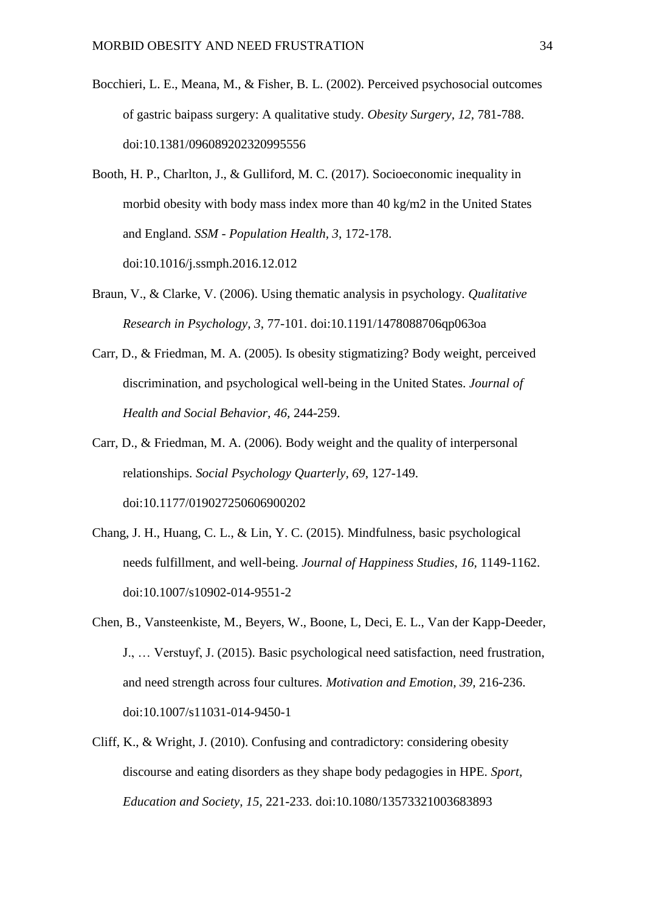- Bocchieri, L. E., Meana, M., & Fisher, B. L. (2002). Perceived psychosocial outcomes of gastric baipass surgery: A qualitative study. *Obesity Surgery, 12,* 781-788. doi:10.1381/096089202320995556
- Booth, H. P., Charlton, J., & Gulliford, M. C. (2017). Socioeconomic inequality in morbid obesity with body mass index more than 40 kg/m2 in the United States and England. *SSM - Population Health, 3*, 172-178. doi:10.1016/j.ssmph.2016.12.012
- Braun, V., & Clarke, V. (2006). Using thematic analysis in psychology. *Qualitative Research in Psychology, 3*, 77-101. doi:10.1191/1478088706qp063oa
- Carr, D., & Friedman, M. A. (2005). Is obesity stigmatizing? Body weight, perceived discrimination, and psychological well-being in the United States. *Journal of Health and Social Behavior, 46,* 244-259.
- Carr, D., & Friedman, M. A. (2006). Body weight and the quality of interpersonal relationships. *Social Psychology Quarterly, 69*, 127-149. doi:10.1177/019027250606900202
- Chang, J. H., Huang, C. L., & Lin, Y. C. (2015). Mindfulness, basic psychological needs fulfillment, and well-being. *Journal of Happiness Studies, 16,* 1149-1162. doi:10.1007/s10902-014-9551-2
- Chen, B., Vansteenkiste, M., Beyers, W., Boone, L, Deci, E. L., Van der Kapp-Deeder, J., … Verstuyf, J. (2015). Basic psychological need satisfaction, need frustration, and need strength across four cultures. *Motivation and Emotion, 39,* 216-236. doi:10.1007/s11031-014-9450-1
- Cliff, K., & Wright, J. (2010). Confusing and contradictory: considering obesity discourse and eating disorders as they shape body pedagogies in HPE. *Sport, Education and Society, 15*, 221-233. doi:10.1080/13573321003683893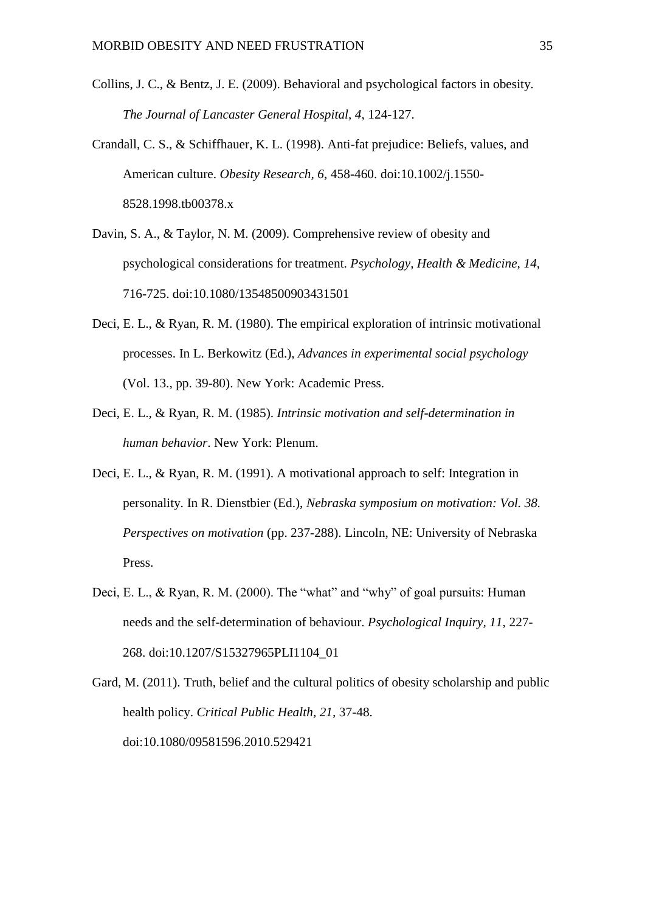- Collins, J. C., & Bentz, J. E. (2009). Behavioral and psychological factors in obesity. *The Journal of Lancaster General Hospital, 4,* 124-127.
- Crandall, C. S., & Schiffhauer, K. L. (1998). Anti-fat prejudice: Beliefs, values, and American culture. *Obesity Research, 6*, 458-460. doi:10.1002/j.1550- 8528.1998.tb00378.x
- Davin, S. A., & Taylor, N. M. (2009). Comprehensive review of obesity and psychological considerations for treatment. *Psychology, Health & Medicine, 14,* 716-725. doi:10.1080/13548500903431501
- Deci, E. L., & Ryan, R. M. (1980). The empirical exploration of intrinsic motivational processes. In L. Berkowitz (Ed.), *Advances in experimental social psychology* (Vol. 13., pp. 39-80). New York: Academic Press.
- Deci, E. L., & Ryan, R. M. (1985). *Intrinsic motivation and self-determination in human behavior*. New York: Plenum.
- Deci, E. L., & Ryan, R. M. (1991). A motivational approach to self: Integration in personality. In R. Dienstbier (Ed.), *Nebraska symposium on motivation: Vol. 38. Perspectives on motivation* (pp. 237-288). Lincoln, NE: University of Nebraska Press.
- Deci, E. L., & Ryan, R. M. (2000). The "what" and "why" of goal pursuits: Human needs and the self-determination of behaviour. *Psychological Inquiry, 11,* 227- 268. doi:10.1207/S15327965PLI1104\_01
- Gard, M. (2011). Truth, belief and the cultural politics of obesity scholarship and public health policy. *Critical Public Health, 21,* 37-48. doi:10.1080/09581596.2010.529421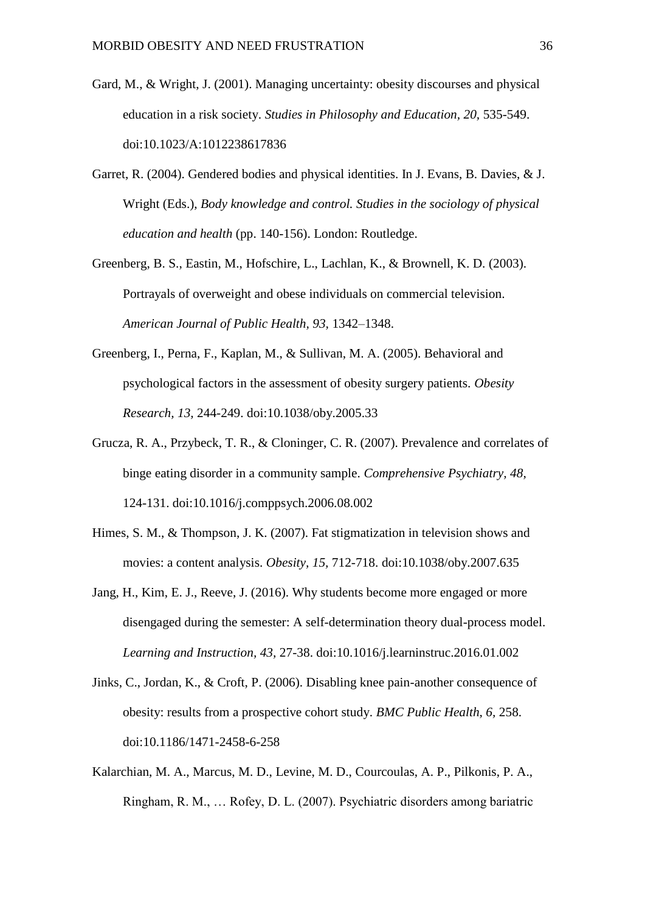- Gard, M., & Wright, J. (2001). Managing uncertainty: obesity discourses and physical education in a risk society. *Studies in Philosophy and Education, 20,* 535-549. doi:10.1023/A:1012238617836
- Garret, R. (2004). Gendered bodies and physical identities. In J. Evans, B. Davies, & J. Wright (Eds.), *Body knowledge and control. Studies in the sociology of physical education and health* (pp. 140-156). London: Routledge.
- Greenberg, B. S., Eastin, M., Hofschire, L., Lachlan, K., & Brownell, K. D. (2003). Portrayals of overweight and obese individuals on commercial television. *American Journal of Public Health, 93,* 1342–1348.
- Greenberg, I., Perna, F., Kaplan, M., & Sullivan, M. A. (2005). Behavioral and psychological factors in the assessment of obesity surgery patients. *Obesity Research, 13,* 244-249. doi:10.1038/oby.2005.33
- Grucza, R. A., Przybeck, T. R., & Cloninger, C. R. (2007). Prevalence and correlates of binge eating disorder in a community sample. *Comprehensive Psychiatry, 48,* 124-131. doi:10.1016/j.comppsych.2006.08.002
- Himes, S. M., & Thompson, J. K. (2007). Fat stigmatization in television shows and movies: a content analysis. *Obesity, 15,* 712-718. doi:10.1038/oby.2007.635
- Jang, H., Kim, E. J., Reeve, J. (2016). Why students become more engaged or more disengaged during the semester: A self-determination theory dual-process model. *Learning and Instruction, 43,* 27-38. doi:10.1016/j.learninstruc.2016.01.002
- Jinks, C., Jordan, K., & Croft, P. (2006). Disabling knee pain-another consequence of obesity: results from a prospective cohort study. *BMC Public Health, 6,* 258. doi:10.1186/1471-2458-6-258
- Kalarchian, M. A., Marcus, M. D., Levine, M. D., Courcoulas, A. P., Pilkonis, P. A., Ringham, R. M., … Rofey, D. L. (2007). Psychiatric disorders among bariatric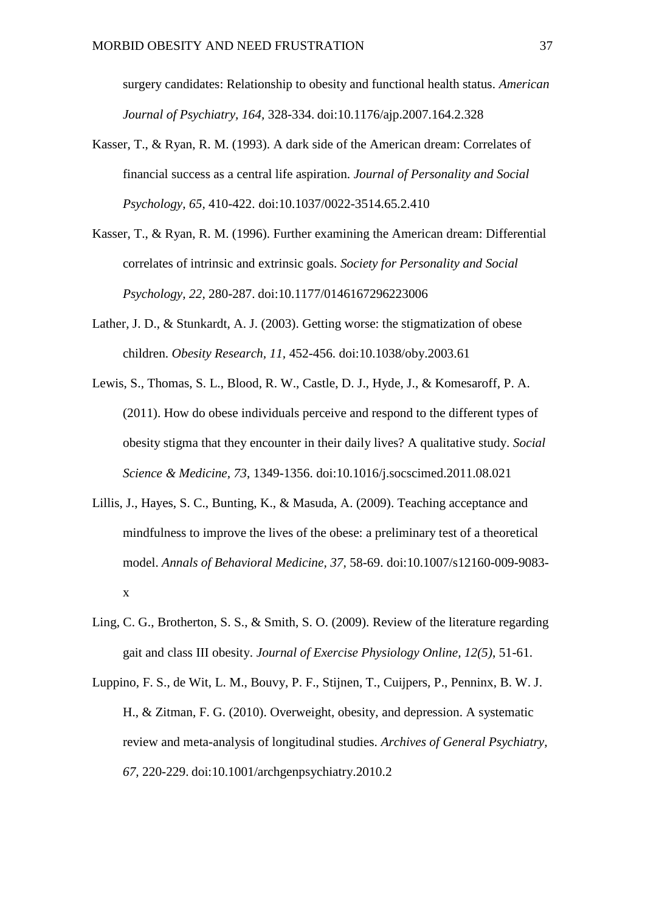surgery candidates: Relationship to obesity and functional health status. *American Journal of Psychiatry, 164,* 328-334. doi:10.1176/ajp.2007.164.2.328

- Kasser, T., & Ryan, R. M. (1993). A dark side of the American dream: Correlates of financial success as a central life aspiration. *Journal of Personality and Social Psychology, 65,* 410-422. doi:10.1037/0022-3514.65.2.410
- Kasser, T., & Ryan, R. M. (1996). Further examining the American dream: Differential correlates of intrinsic and extrinsic goals. *Society for Personality and Social Psychology, 22,* 280-287. doi:10.1177/0146167296223006
- Lather, J. D., & Stunkardt, A. J. (2003). Getting worse: the stigmatization of obese children. *Obesity Research, 11,* 452-456. doi:10.1038/oby.2003.61
- Lewis, S., Thomas, S. L., Blood, R. W., Castle, D. J., Hyde, J., & Komesaroff, P. A. (2011). How do obese individuals perceive and respond to the different types of obesity stigma that they encounter in their daily lives? A qualitative study. *Social Science & Medicine, 73*, 1349-1356. doi:10.1016/j.socscimed.2011.08.021
- Lillis, J., Hayes, S. C., Bunting, K., & Masuda, A. (2009). Teaching acceptance and mindfulness to improve the lives of the obese: a preliminary test of a theoretical model. *Annals of Behavioral Medicine, 37,* 58-69. doi:10.1007/s12160-009-9083 x
- Ling, C. G., Brotherton, S. S., & Smith, S. O. (2009). Review of the literature regarding gait and class III obesity. *Journal of Exercise Physiology Online, 12(5)*, 51-61.
- Luppino, F. S., de Wit, L. M., Bouvy, P. F., Stijnen, T., Cuijpers, P., Penninx, B. W. J. H., & Zitman, F. G. (2010). Overweight, obesity, and depression. A systematic review and meta-analysis of longitudinal studies. *Archives of General Psychiatry, 67,* 220-229. doi:10.1001/archgenpsychiatry.2010.2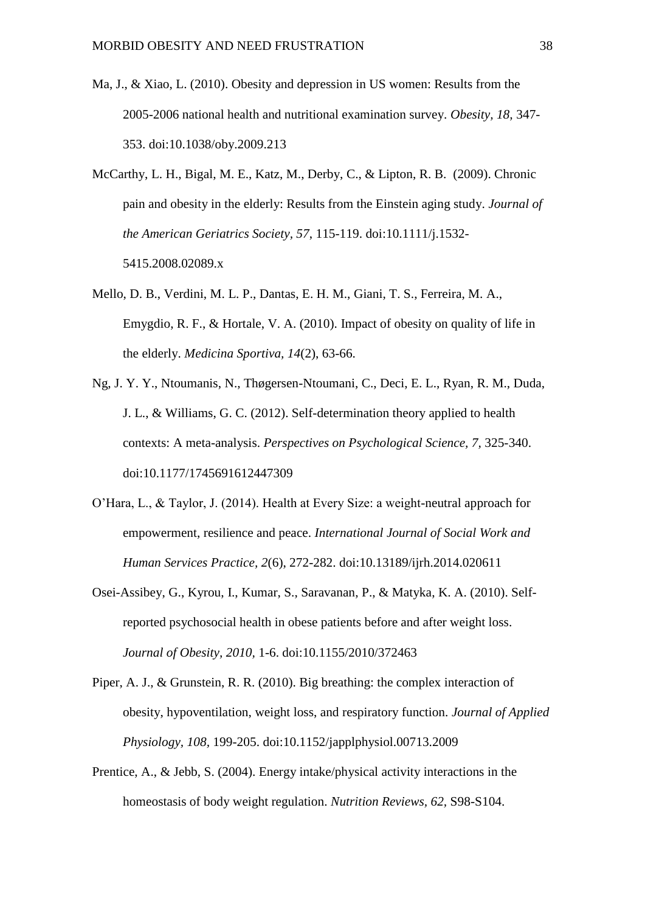- Ma, J., & Xiao, L. (2010). Obesity and depression in US women: Results from the 2005-2006 national health and nutritional examination survey. *Obesity, 18,* 347- 353. doi:10.1038/oby.2009.213
- McCarthy, L. H., Bigal, M. E., Katz, M., Derby, C., & Lipton, R. B. (2009). Chronic pain and obesity in the elderly: Results from the Einstein aging study. *Journal of the American Geriatrics Society, 57*, 115-119. doi:10.1111/j.1532- 5415.2008.02089.x
- Mello, D. B., Verdini, M. L. P., Dantas, E. H. M., Giani, T. S., Ferreira, M. A., Emygdio, R. F., & Hortale, V. A. (2010). Impact of obesity on quality of life in the elderly. *Medicina Sportiva, 14*(2), 63-66.
- Ng, J. Y. Y., Ntoumanis, N., Thøgersen-Ntoumani, C., Deci, E. L., Ryan, R. M., Duda, J. L., & Williams, G. C. (2012). Self-determination theory applied to health contexts: A meta-analysis. *Perspectives on Psychological Science, 7,* 325-340. doi:10.1177/1745691612447309
- O'Hara, L., & Taylor, J. (2014). Health at Every Size: a weight-neutral approach for empowerment, resilience and peace. *International Journal of Social Work and Human Services Practice, 2*(6), 272-282. doi:10.13189/ijrh.2014.020611
- Osei-Assibey, G., Kyrou, I., Kumar, S., Saravanan, P., & Matyka, K. A. (2010). Selfreported psychosocial health in obese patients before and after weight loss. *Journal of Obesity, 2010,* 1-6. doi:10.1155/2010/372463
- Piper, A. J., & Grunstein, R. R. (2010). Big breathing: the complex interaction of obesity, hypoventilation, weight loss, and respiratory function. *Journal of Applied Physiology, 108,* 199-205. doi:10.1152/japplphysiol.00713.2009
- Prentice, A., & Jebb, S. (2004). Energy intake/physical activity interactions in the homeostasis of body weight regulation. *Nutrition Reviews, 62,* S98-S104.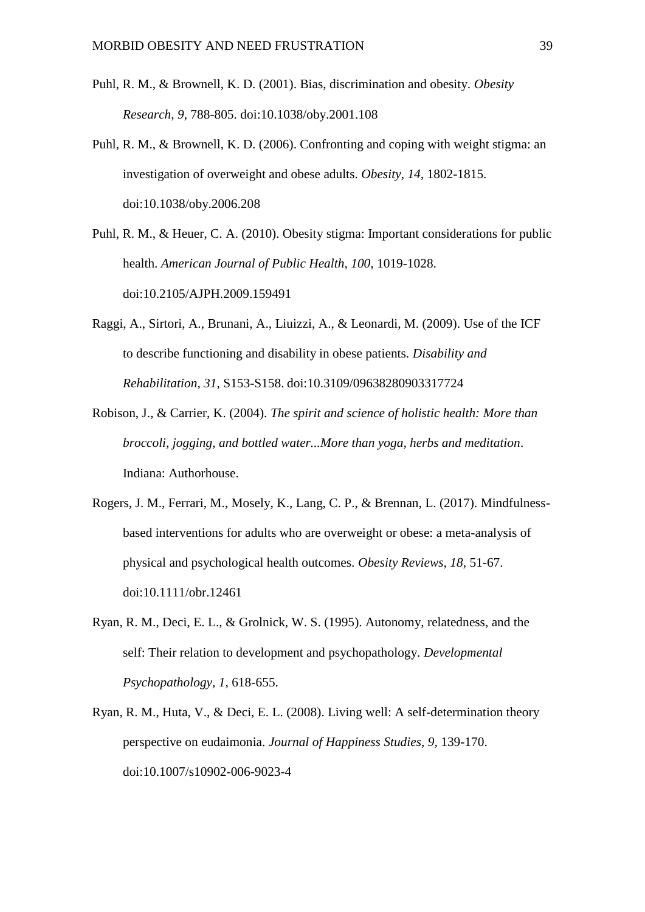- Puhl, R. M., & Brownell, K. D. (2001). Bias, discrimination and obesity. *Obesity Research, 9,* 788-805. doi:10.1038/oby.2001.108
- Puhl, R. M., & Brownell, K. D. (2006). Confronting and coping with weight stigma: an investigation of overweight and obese adults. *Obesity, 14,* 1802-1815. doi:10.1038/oby.2006.208
- Puhl, R. M., & Heuer, C. A. (2010). Obesity stigma: Important considerations for public health. *American Journal of Public Health, 100,* 1019-1028. doi:10.2105/AJPH.2009.159491
- Raggi, A., Sirtori, A., Brunani, A., Liuizzi, A., & Leonardi, M. (2009). Use of the ICF to describe functioning and disability in obese patients. *Disability and Rehabilitation, 31*, S153-S158. doi:10.3109/09638280903317724
- Robison, J., & Carrier, K. (2004). *The spirit and science of holistic health: More than broccoli, jogging, and bottled water...More than yoga, herbs and meditation*. Indiana: Authorhouse.
- Rogers, J. M., Ferrari, M., Mosely, K., Lang, C. P., & Brennan, L. (2017). Mindfulnessbased interventions for adults who are overweight or obese: a meta-analysis of physical and psychological health outcomes. *Obesity Reviews, 18,* 51-67. doi:10.1111/obr.12461
- Ryan, R. M., Deci, E. L., & Grolnick, W. S. (1995). Autonomy, relatedness, and the self: Their relation to development and psychopathology. *Developmental Psychopathology, 1,* 618-655.
- Ryan, R. M., Huta, V., & Deci, E. L. (2008). Living well: A self-determination theory perspective on eudaimonia. *Journal of Happiness Studies, 9,* 139-170. doi:10.1007/s10902-006-9023-4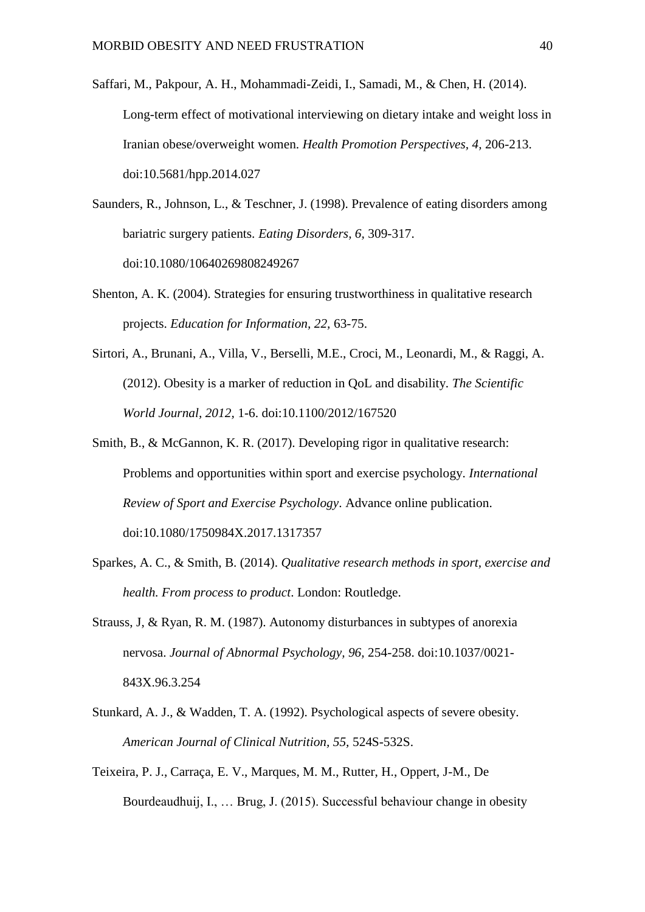- Saffari, M., Pakpour, A. H., Mohammadi-Zeidi, I., Samadi, M., & Chen, H. (2014). Long-term effect of motivational interviewing on dietary intake and weight loss in Iranian obese/overweight women. *Health Promotion Perspectives, 4,* 206-213. doi:10.5681/hpp.2014.027
- Saunders, R., Johnson, L., & Teschner, J. (1998). Prevalence of eating disorders among bariatric surgery patients. *Eating Disorders, 6,* 309-317. doi:10.1080/10640269808249267
- Shenton, A. K. (2004). Strategies for ensuring trustworthiness in qualitative research projects. *Education for Information, 22,* 63-75.
- Sirtori, A., Brunani, A., Villa, V., Berselli, M.E., Croci, M., Leonardi, M., & Raggi, A. (2012). Obesity is a marker of reduction in QoL and disability. *The Scientific World Journal, 2012,* 1-6. doi:10.1100/2012/167520
- Smith, B., & McGannon, K. R. (2017). Developing rigor in qualitative research: Problems and opportunities within sport and exercise psychology. *International Review of Sport and Exercise Psychology*. Advance online publication. doi:10.1080/1750984X.2017.1317357
- Sparkes, A. C., & Smith, B. (2014). *Qualitative research methods in sport, exercise and health. From process to product*. London: Routledge.
- Strauss, J, & Ryan, R. M. (1987). Autonomy disturbances in subtypes of anorexia nervosa. *Journal of Abnormal Psychology, 96,* 254-258. doi:10.1037/0021- 843X.96.3.254
- Stunkard, A. J., & Wadden, T. A. (1992). Psychological aspects of severe obesity. *American Journal of Clinical Nutrition, 55,* 524S-532S.
- Teixeira, P. J., Carraça, E. V., Marques, M. M., Rutter, H., Oppert, J-M., De Bourdeaudhuij, I., … Brug, J. (2015). Successful behaviour change in obesity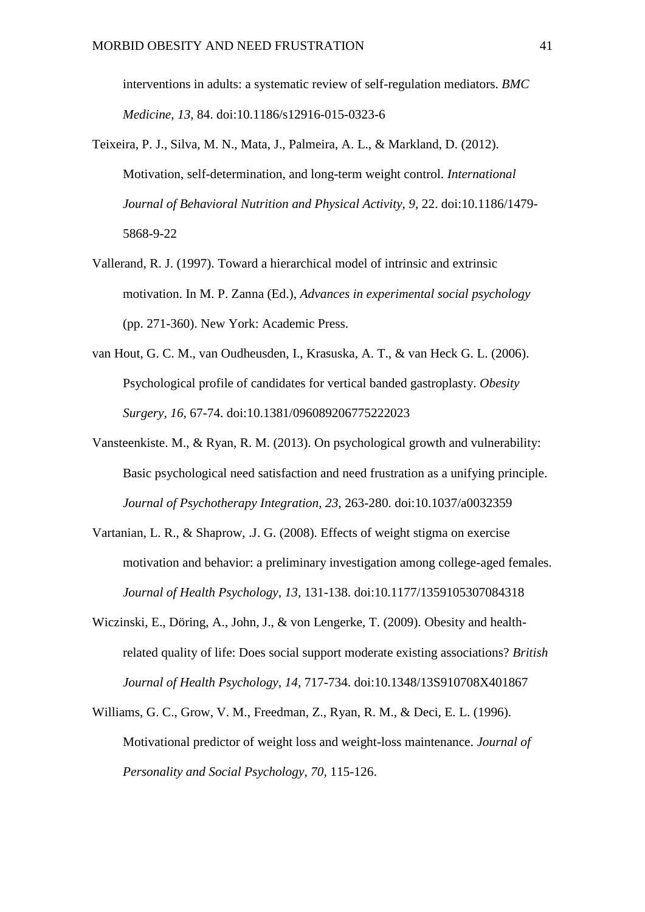interventions in adults: a systematic review of self-regulation mediators. *BMC Medicine, 13,* 84. doi:10.1186/s12916-015-0323-6

- Teixeira, P. J., Silva, M. N., Mata, J., Palmeira, A. L., & Markland, D. (2012). Motivation, self-determination, and long-term weight control. *International Journal of Behavioral Nutrition and Physical Activity, 9,* 22. doi:10.1186/1479- 5868-9-22
- Vallerand, R. J. (1997). Toward a hierarchical model of intrinsic and extrinsic motivation. In M. P. Zanna (Ed.), *Advances in experimental social psychology* (pp. 271-360). New York: Academic Press.
- van Hout, G. C. M., van Oudheusden, I., Krasuska, A. T., & van Heck G. L. (2006). Psychological profile of candidates for vertical banded gastroplasty. *Obesity Surgery, 16*, 67-74. doi:10.1381/096089206775222023
- Vansteenkiste. M., & Ryan, R. M. (2013). On psychological growth and vulnerability: Basic psychological need satisfaction and need frustration as a unifying principle. *Journal of Psychotherapy Integration, 23,* 263-280. doi:10.1037/a0032359
- Vartanian, L. R., & Shaprow, .J. G. (2008). Effects of weight stigma on exercise motivation and behavior: a preliminary investigation among college-aged females. *Journal of Health Psychology, 13,* 131-138. doi:10.1177/1359105307084318
- Wiczinski, E., Döring, A., John, J., & von Lengerke, T. (2009). Obesity and healthrelated quality of life: Does social support moderate existing associations? *British Journal of Health Psychology, 14,* 717-734. doi:10.1348/13S910708X401867
- Williams, G. C., Grow, V. M., Freedman, Z., Ryan, R. M., & Deci, E. L. (1996). Motivational predictor of weight loss and weight-loss maintenance. *Journal of Personality and Social Psychology, 70,* 115-126.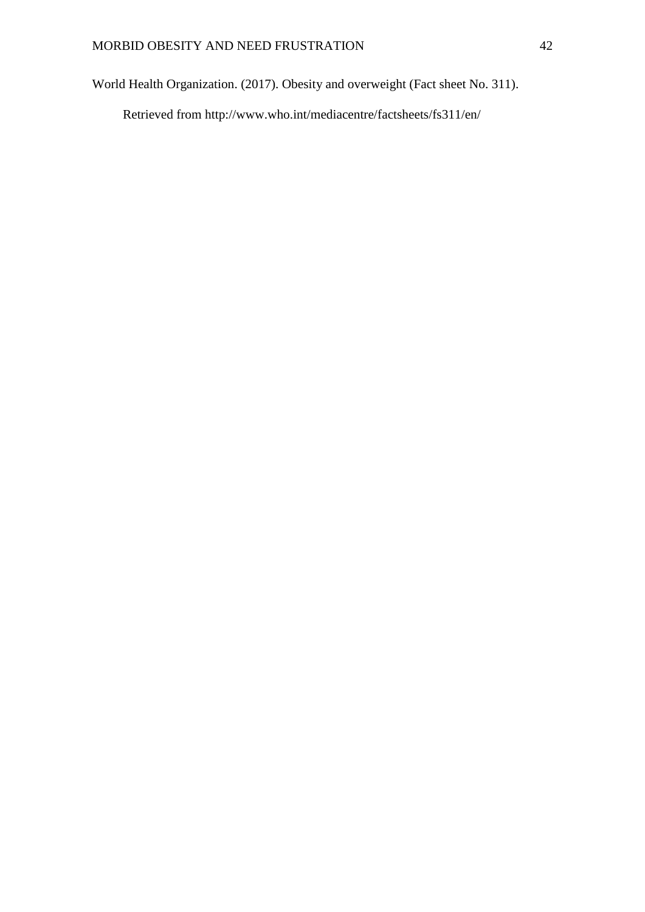World Health Organization. (2017). Obesity and overweight (Fact sheet No. 311).

Retrieved from http://www.who.int/mediacentre/factsheets/fs311/en/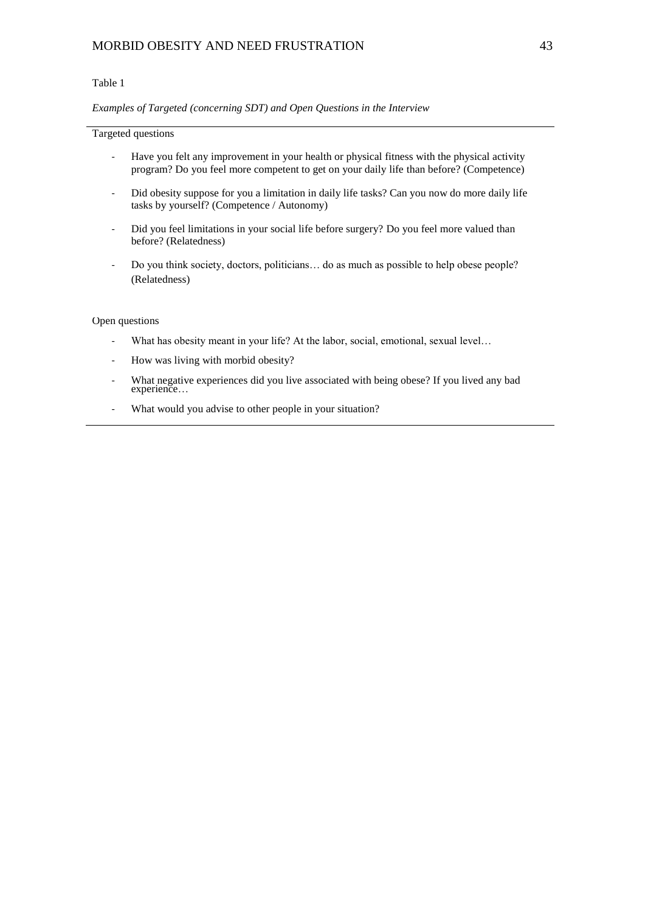### MORBID OBESITY AND NEED FRUSTRATION 43

#### Table 1

### *Examples of Targeted (concerning SDT) and Open Questions in the Interview*

#### Targeted questions

- Have you felt any improvement in your health or physical fitness with the physical activity program? Do you feel more competent to get on your daily life than before? (Competence)
- Did obesity suppose for you a limitation in daily life tasks? Can you now do more daily life tasks by yourself? (Competence / Autonomy)
- Did you feel limitations in your social life before surgery? Do you feel more valued than before? (Relatedness)
- Do you think society, doctors, politicians... do as much as possible to help obese people? (Relatedness)

#### Open questions

- What has obesity meant in your life? At the labor, social, emotional, sexual level…
- How was living with morbid obesity?
- What negative experiences did you live associated with being obese? If you lived any bad experience…
- What would you advise to other people in your situation?